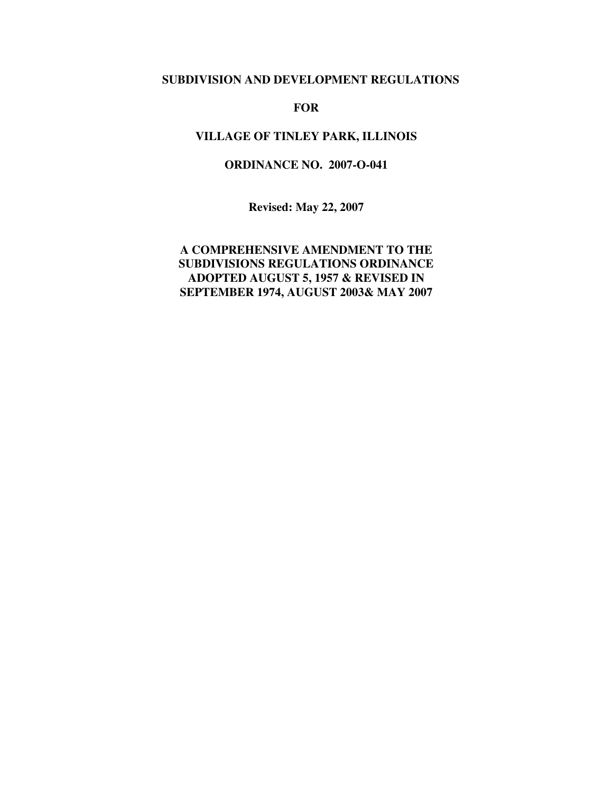# **SUBDIVISION AND DEVELOPMENT REGULATIONS**

#### **FOR**

# **VILLAGE OF TINLEY PARK, ILLINOIS**

## **ORDINANCE NO. 2007-O-041**

**Revised: May 22, 2007** 

# **A COMPREHENSIVE AMENDMENT TO THE SUBDIVISIONS REGULATIONS ORDINANCE ADOPTED AUGUST 5, 1957 & REVISED IN SEPTEMBER 1974, AUGUST 2003& MAY 2007**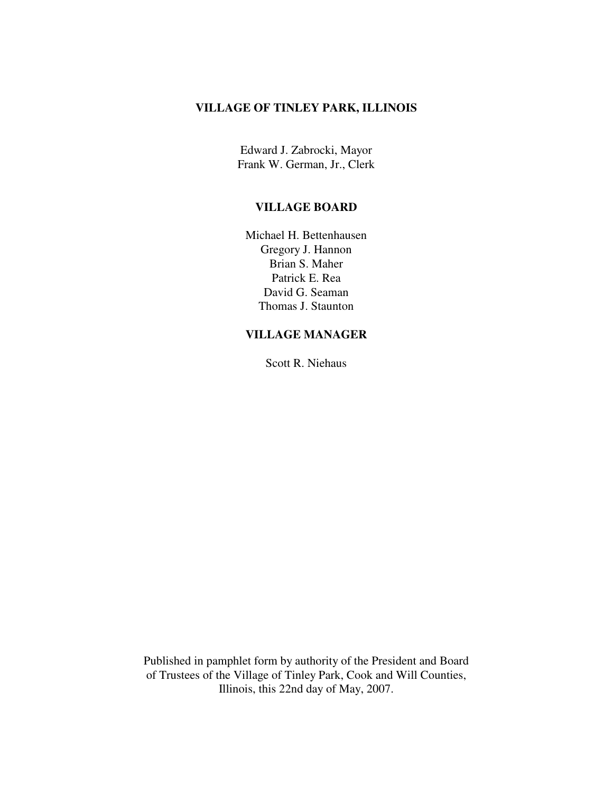# **VILLAGE OF TINLEY PARK, ILLINOIS**

Edward J. Zabrocki, Mayor Frank W. German, Jr., Clerk

#### **VILLAGE BOARD**

Michael H. Bettenhausen Gregory J. Hannon Brian S. Maher Patrick E. Rea David G. Seaman Thomas J. Staunton

## **VILLAGE MANAGER**

Scott R. Niehaus

Published in pamphlet form by authority of the President and Board of Trustees of the Village of Tinley Park, Cook and Will Counties, Illinois, this 22nd day of May, 2007.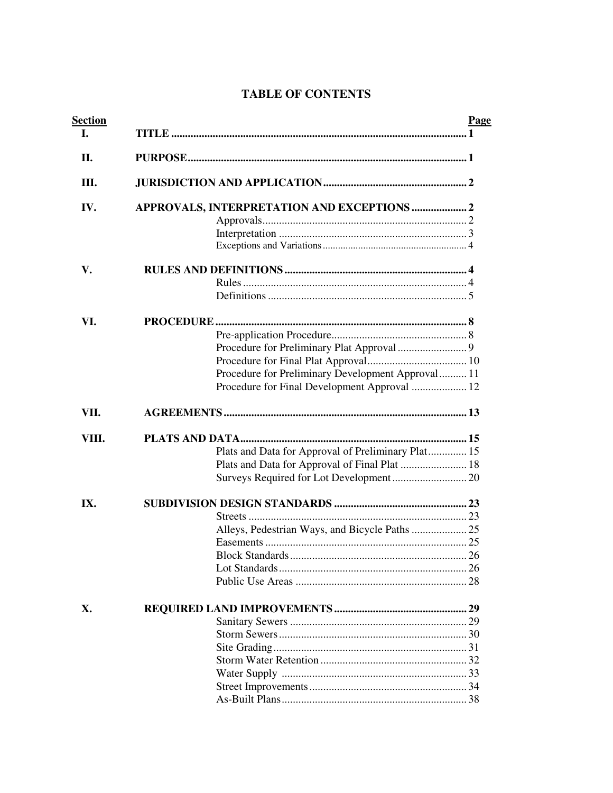# **TABLE OF CONTENTS**

| <b>Section</b> | Page                                               |
|----------------|----------------------------------------------------|
| <b>I.</b>      |                                                    |
| II.            |                                                    |
| Ш.             |                                                    |
| IV.            | APPROVALS, INTERPRETATION AND EXCEPTIONS  2        |
|                |                                                    |
|                |                                                    |
|                |                                                    |
| V.             |                                                    |
|                |                                                    |
|                |                                                    |
| VI.            |                                                    |
|                |                                                    |
|                |                                                    |
|                |                                                    |
|                | Procedure for Preliminary Development Approval 11  |
|                | Procedure for Final Development Approval  12       |
|                |                                                    |
| VII.           |                                                    |
| VIII.          |                                                    |
|                | Plats and Data for Approval of Preliminary Plat 15 |
|                | Plats and Data for Approval of Final Plat  18      |
|                | Surveys Required for Lot Development 20            |
|                |                                                    |
| IX.            |                                                    |
|                |                                                    |
|                | Alleys, Pedestrian Ways, and Bicycle Paths  25     |
|                |                                                    |
|                |                                                    |
|                |                                                    |
|                |                                                    |
| X.             |                                                    |
|                |                                                    |
|                |                                                    |
|                |                                                    |
|                |                                                    |
|                |                                                    |
|                |                                                    |
|                |                                                    |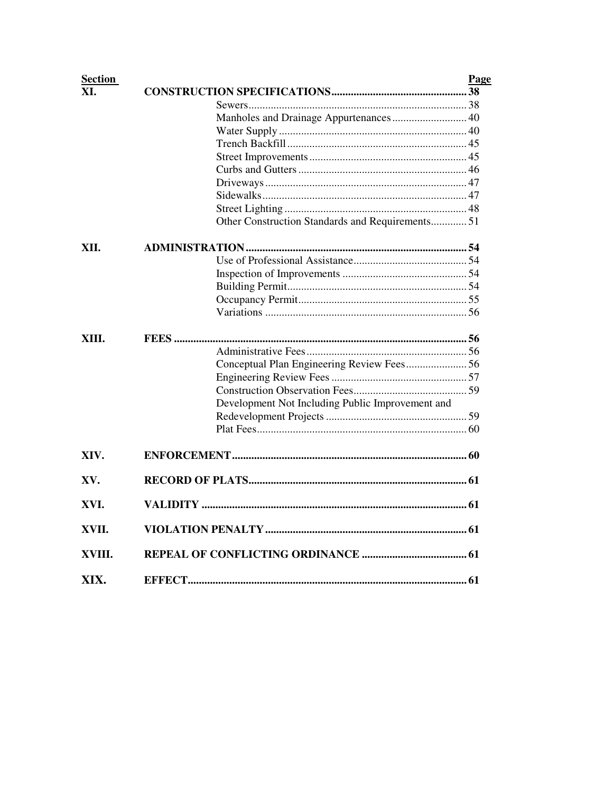| <b>Section</b> |                                                  | Page |
|----------------|--------------------------------------------------|------|
| XI.            |                                                  |      |
|                |                                                  |      |
|                | Manholes and Drainage Appurtenances 40           |      |
|                |                                                  |      |
|                |                                                  |      |
|                |                                                  |      |
|                |                                                  |      |
|                |                                                  |      |
|                |                                                  |      |
|                |                                                  |      |
|                | Other Construction Standards and Requirements 51 |      |
| XII.           |                                                  |      |
|                |                                                  |      |
|                |                                                  |      |
|                |                                                  |      |
|                |                                                  |      |
|                |                                                  |      |
| XIII.          |                                                  |      |
|                |                                                  |      |
|                | Conceptual Plan Engineering Review Fees56        |      |
|                |                                                  |      |
|                |                                                  |      |
|                | Development Not Including Public Improvement and |      |
|                |                                                  |      |
|                |                                                  |      |
|                |                                                  |      |
| XIV.           |                                                  |      |
| XV.            |                                                  |      |
| XVI.           |                                                  |      |
| XVII.          |                                                  |      |
| XVIII.         |                                                  |      |
| XIX.           |                                                  |      |
|                |                                                  |      |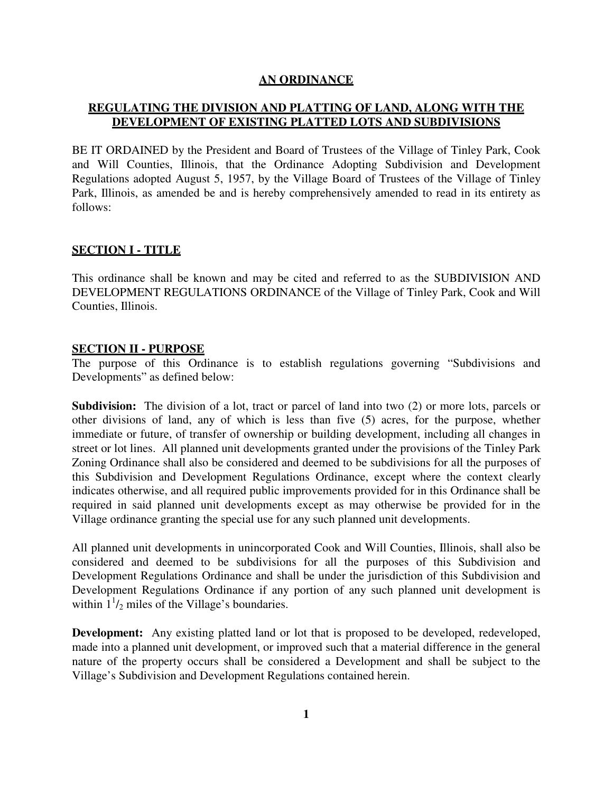### **AN ORDINANCE**

# **REGULATING THE DIVISION AND PLATTING OF LAND, ALONG WITH THE DEVELOPMENT OF EXISTING PLATTED LOTS AND SUBDIVISIONS**

BE IT ORDAINED by the President and Board of Trustees of the Village of Tinley Park, Cook and Will Counties, Illinois, that the Ordinance Adopting Subdivision and Development Regulations adopted August 5, 1957, by the Village Board of Trustees of the Village of Tinley Park, Illinois, as amended be and is hereby comprehensively amended to read in its entirety as follows:

# **SECTION I - TITLE**

This ordinance shall be known and may be cited and referred to as the SUBDIVISION AND DEVELOPMENT REGULATIONS ORDINANCE of the Village of Tinley Park, Cook and Will Counties, Illinois.

### **SECTION II - PURPOSE**

The purpose of this Ordinance is to establish regulations governing "Subdivisions and Developments" as defined below:

**Subdivision:** The division of a lot, tract or parcel of land into two (2) or more lots, parcels or other divisions of land, any of which is less than five (5) acres, for the purpose, whether immediate or future, of transfer of ownership or building development, including all changes in street or lot lines. All planned unit developments granted under the provisions of the Tinley Park Zoning Ordinance shall also be considered and deemed to be subdivisions for all the purposes of this Subdivision and Development Regulations Ordinance, except where the context clearly indicates otherwise, and all required public improvements provided for in this Ordinance shall be required in said planned unit developments except as may otherwise be provided for in the Village ordinance granting the special use for any such planned unit developments.

All planned unit developments in unincorporated Cook and Will Counties, Illinois, shall also be considered and deemed to be subdivisions for all the purposes of this Subdivision and Development Regulations Ordinance and shall be under the jurisdiction of this Subdivision and Development Regulations Ordinance if any portion of any such planned unit development is within  $1<sup>1</sup>/2$  miles of the Village's boundaries.

**Development:** Any existing platted land or lot that is proposed to be developed, redeveloped, made into a planned unit development, or improved such that a material difference in the general nature of the property occurs shall be considered a Development and shall be subject to the Village's Subdivision and Development Regulations contained herein.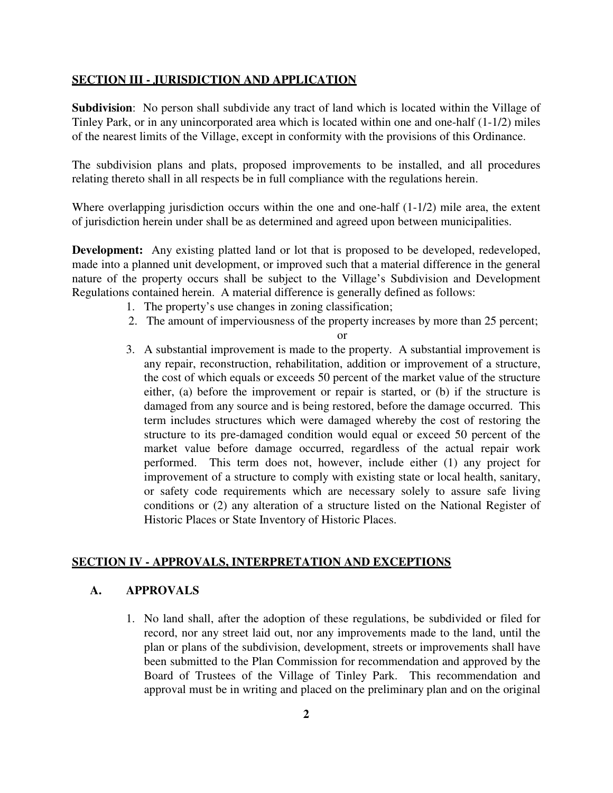#### **SECTION III - JURISDICTION AND APPLICATION**

**Subdivision**: No person shall subdivide any tract of land which is located within the Village of Tinley Park, or in any unincorporated area which is located within one and one-half (1-1/2) miles of the nearest limits of the Village, except in conformity with the provisions of this Ordinance.

The subdivision plans and plats, proposed improvements to be installed, and all procedures relating thereto shall in all respects be in full compliance with the regulations herein.

Where overlapping jurisdiction occurs within the one and one-half  $(1-1/2)$  mile area, the extent of jurisdiction herein under shall be as determined and agreed upon between municipalities.

**Development:** Any existing platted land or lot that is proposed to be developed, redeveloped, made into a planned unit development, or improved such that a material difference in the general nature of the property occurs shall be subject to the Village's Subdivision and Development Regulations contained herein. A material difference is generally defined as follows:

- 1. The property's use changes in zoning classification;
- 2. The amount of imperviousness of the property increases by more than 25 percent;

or

3. A substantial improvement is made to the property. A substantial improvement is any repair, reconstruction, rehabilitation, addition or improvement of a structure, the cost of which equals or exceeds 50 percent of the market value of the structure either, (a) before the improvement or repair is started, or (b) if the structure is damaged from any source and is being restored, before the damage occurred. This term includes structures which were damaged whereby the cost of restoring the structure to its pre-damaged condition would equal or exceed 50 percent of the market value before damage occurred, regardless of the actual repair work performed. This term does not, however, include either (1) any project for improvement of a structure to comply with existing state or local health, sanitary, or safety code requirements which are necessary solely to assure safe living conditions or (2) any alteration of a structure listed on the National Register of Historic Places or State Inventory of Historic Places.

### **SECTION IV - APPROVALS, INTERPRETATION AND EXCEPTIONS**

## **A. APPROVALS**

1. No land shall, after the adoption of these regulations, be subdivided or filed for record, nor any street laid out, nor any improvements made to the land, until the plan or plans of the subdivision, development, streets or improvements shall have been submitted to the Plan Commission for recommendation and approved by the Board of Trustees of the Village of Tinley Park. This recommendation and approval must be in writing and placed on the preliminary plan and on the original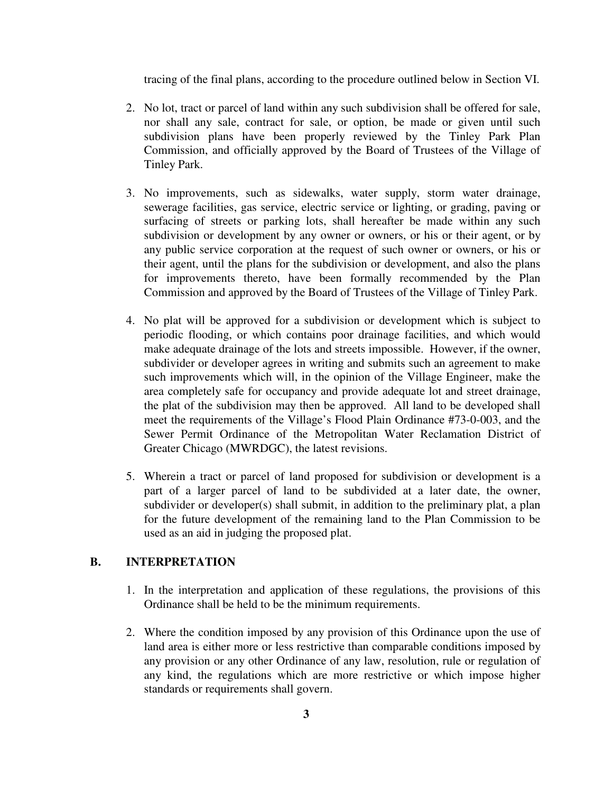tracing of the final plans, according to the procedure outlined below in Section VI.

- 2. No lot, tract or parcel of land within any such subdivision shall be offered for sale, nor shall any sale, contract for sale, or option, be made or given until such subdivision plans have been properly reviewed by the Tinley Park Plan Commission, and officially approved by the Board of Trustees of the Village of Tinley Park.
- 3. No improvements, such as sidewalks, water supply, storm water drainage, sewerage facilities, gas service, electric service or lighting, or grading, paving or surfacing of streets or parking lots, shall hereafter be made within any such subdivision or development by any owner or owners, or his or their agent, or by any public service corporation at the request of such owner or owners, or his or their agent, until the plans for the subdivision or development, and also the plans for improvements thereto, have been formally recommended by the Plan Commission and approved by the Board of Trustees of the Village of Tinley Park.
- 4. No plat will be approved for a subdivision or development which is subject to periodic flooding, or which contains poor drainage facilities, and which would make adequate drainage of the lots and streets impossible. However, if the owner, subdivider or developer agrees in writing and submits such an agreement to make such improvements which will, in the opinion of the Village Engineer, make the area completely safe for occupancy and provide adequate lot and street drainage, the plat of the subdivision may then be approved. All land to be developed shall meet the requirements of the Village's Flood Plain Ordinance #73-0-003, and the Sewer Permit Ordinance of the Metropolitan Water Reclamation District of Greater Chicago (MWRDGC), the latest revisions.
- 5. Wherein a tract or parcel of land proposed for subdivision or development is a part of a larger parcel of land to be subdivided at a later date, the owner, subdivider or developer(s) shall submit, in addition to the preliminary plat, a plan for the future development of the remaining land to the Plan Commission to be used as an aid in judging the proposed plat.

# **B. INTERPRETATION**

- 1. In the interpretation and application of these regulations, the provisions of this Ordinance shall be held to be the minimum requirements.
- 2. Where the condition imposed by any provision of this Ordinance upon the use of land area is either more or less restrictive than comparable conditions imposed by any provision or any other Ordinance of any law, resolution, rule or regulation of any kind, the regulations which are more restrictive or which impose higher standards or requirements shall govern.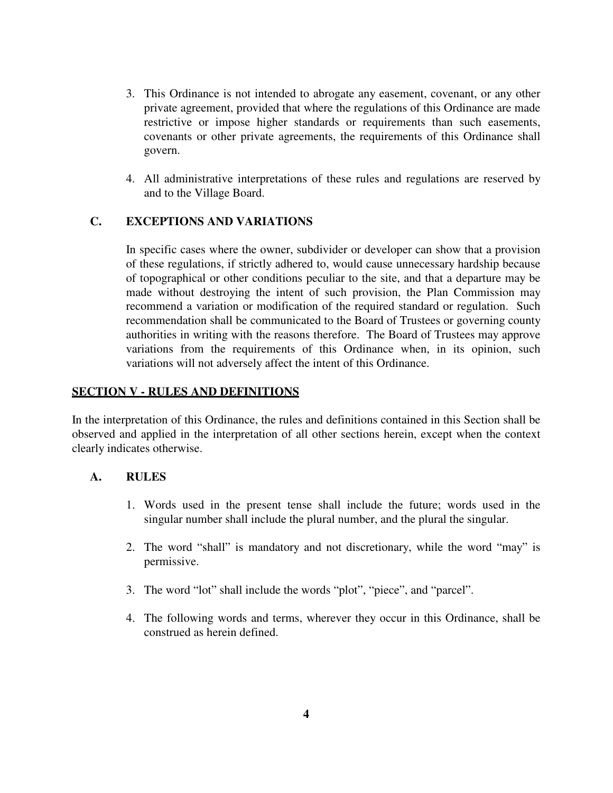- 3. This Ordinance is not intended to abrogate any easement, covenant, or any other private agreement, provided that where the regulations of this Ordinance are made restrictive or impose higher standards or requirements than such easements, covenants or other private agreements, the requirements of this Ordinance shall govern.
- 4. All administrative interpretations of these rules and regulations are reserved by and to the Village Board.

### **C. EXCEPTIONS AND VARIATIONS**

In specific cases where the owner, subdivider or developer can show that a provision of these regulations, if strictly adhered to, would cause unnecessary hardship because of topographical or other conditions peculiar to the site, and that a departure may be made without destroying the intent of such provision, the Plan Commission may recommend a variation or modification of the required standard or regulation. Such recommendation shall be communicated to the Board of Trustees or governing county authorities in writing with the reasons therefore. The Board of Trustees may approve variations from the requirements of this Ordinance when, in its opinion, such variations will not adversely affect the intent of this Ordinance.

### **SECTION V - RULES AND DEFINITIONS**

In the interpretation of this Ordinance, the rules and definitions contained in this Section shall be observed and applied in the interpretation of all other sections herein, except when the context clearly indicates otherwise.

### **A. RULES**

- 1. Words used in the present tense shall include the future; words used in the singular number shall include the plural number, and the plural the singular.
- 2. The word "shall" is mandatory and not discretionary, while the word "may" is permissive.
- 3. The word "lot" shall include the words "plot", "piece", and "parcel".
- 4. The following words and terms, wherever they occur in this Ordinance, shall be construed as herein defined.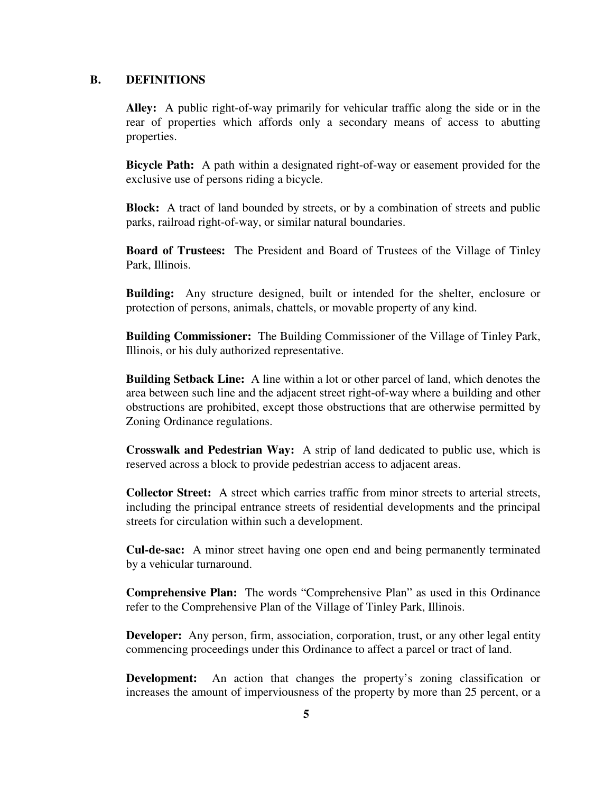#### **B. DEFINITIONS**

**Alley:** A public right-of-way primarily for vehicular traffic along the side or in the rear of properties which affords only a secondary means of access to abutting properties.

**Bicycle Path:** A path within a designated right-of-way or easement provided for the exclusive use of persons riding a bicycle.

**Block:** A tract of land bounded by streets, or by a combination of streets and public parks, railroad right-of-way, or similar natural boundaries.

**Board of Trustees:** The President and Board of Trustees of the Village of Tinley Park, Illinois.

**Building:** Any structure designed, built or intended for the shelter, enclosure or protection of persons, animals, chattels, or movable property of any kind.

**Building Commissioner:** The Building Commissioner of the Village of Tinley Park, Illinois, or his duly authorized representative.

**Building Setback Line:** A line within a lot or other parcel of land, which denotes the area between such line and the adjacent street right-of-way where a building and other obstructions are prohibited, except those obstructions that are otherwise permitted by Zoning Ordinance regulations.

**Crosswalk and Pedestrian Way:** A strip of land dedicated to public use, which is reserved across a block to provide pedestrian access to adjacent areas.

**Collector Street:** A street which carries traffic from minor streets to arterial streets, including the principal entrance streets of residential developments and the principal streets for circulation within such a development.

**Cul-de-sac:** A minor street having one open end and being permanently terminated by a vehicular turnaround.

**Comprehensive Plan:** The words "Comprehensive Plan" as used in this Ordinance refer to the Comprehensive Plan of the Village of Tinley Park, Illinois.

**Developer:** Any person, firm, association, corporation, trust, or any other legal entity commencing proceedings under this Ordinance to affect a parcel or tract of land.

**Development:** An action that changes the property's zoning classification or increases the amount of imperviousness of the property by more than 25 percent, or a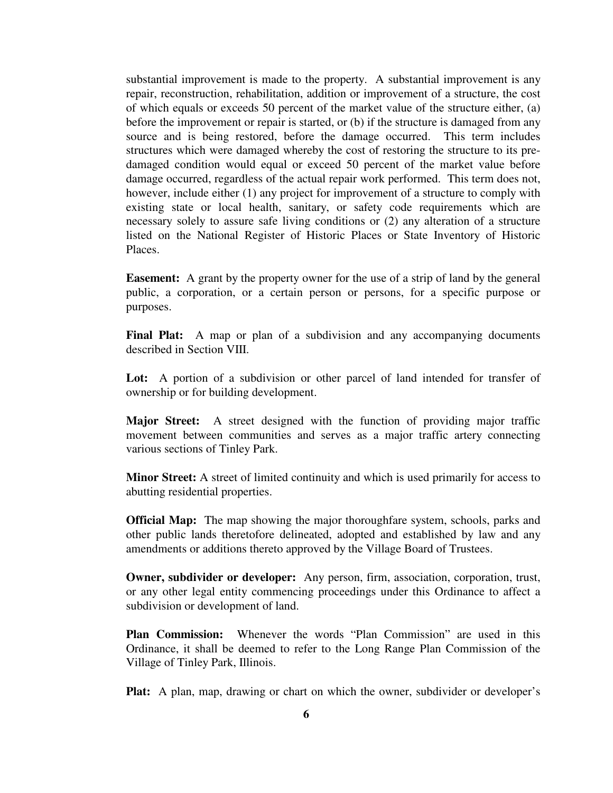substantial improvement is made to the property. A substantial improvement is any repair, reconstruction, rehabilitation, addition or improvement of a structure, the cost of which equals or exceeds 50 percent of the market value of the structure either, (a) before the improvement or repair is started, or (b) if the structure is damaged from any source and is being restored, before the damage occurred. This term includes structures which were damaged whereby the cost of restoring the structure to its predamaged condition would equal or exceed 50 percent of the market value before damage occurred, regardless of the actual repair work performed. This term does not, however, include either (1) any project for improvement of a structure to comply with existing state or local health, sanitary, or safety code requirements which are necessary solely to assure safe living conditions or (2) any alteration of a structure listed on the National Register of Historic Places or State Inventory of Historic Places.

**Easement:** A grant by the property owner for the use of a strip of land by the general public, a corporation, or a certain person or persons, for a specific purpose or purposes.

Final Plat: A map or plan of a subdivision and any accompanying documents described in Section VIII.

Lot: A portion of a subdivision or other parcel of land intended for transfer of ownership or for building development.

**Major Street:** A street designed with the function of providing major traffic movement between communities and serves as a major traffic artery connecting various sections of Tinley Park.

**Minor Street:** A street of limited continuity and which is used primarily for access to abutting residential properties.

**Official Map:** The map showing the major thoroughfare system, schools, parks and other public lands theretofore delineated, adopted and established by law and any amendments or additions thereto approved by the Village Board of Trustees.

**Owner, subdivider or developer:** Any person, firm, association, corporation, trust, or any other legal entity commencing proceedings under this Ordinance to affect a subdivision or development of land.

**Plan Commission:** Whenever the words "Plan Commission" are used in this Ordinance, it shall be deemed to refer to the Long Range Plan Commission of the Village of Tinley Park, Illinois.

**Plat:** A plan, map, drawing or chart on which the owner, subdivider or developer's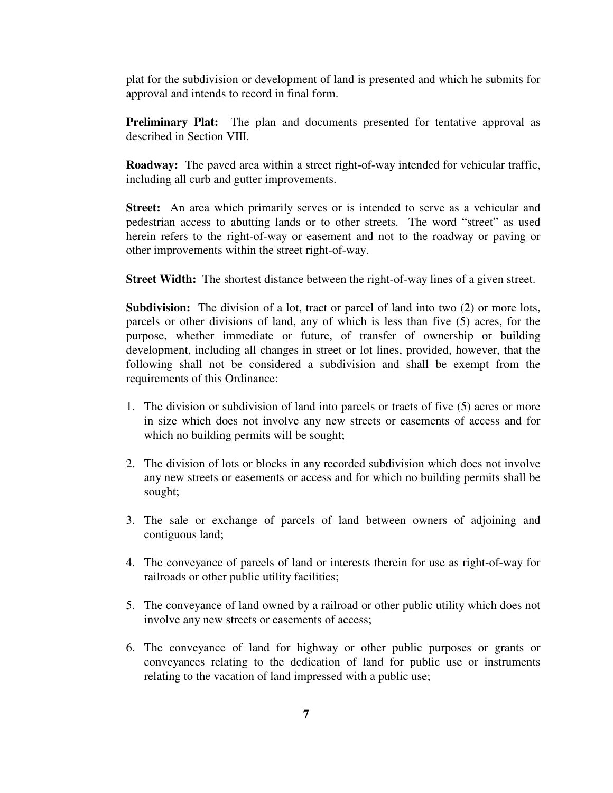plat for the subdivision or development of land is presented and which he submits for approval and intends to record in final form.

**Preliminary Plat:** The plan and documents presented for tentative approval as described in Section VIII.

**Roadway:** The paved area within a street right-of-way intended for vehicular traffic, including all curb and gutter improvements.

**Street:** An area which primarily serves or is intended to serve as a vehicular and pedestrian access to abutting lands or to other streets. The word "street" as used herein refers to the right-of-way or easement and not to the roadway or paving or other improvements within the street right-of-way.

**Street Width:** The shortest distance between the right-of-way lines of a given street.

**Subdivision:** The division of a lot, tract or parcel of land into two (2) or more lots, parcels or other divisions of land, any of which is less than five (5) acres, for the purpose, whether immediate or future, of transfer of ownership or building development, including all changes in street or lot lines, provided, however, that the following shall not be considered a subdivision and shall be exempt from the requirements of this Ordinance:

- 1. The division or subdivision of land into parcels or tracts of five (5) acres or more in size which does not involve any new streets or easements of access and for which no building permits will be sought;
- 2. The division of lots or blocks in any recorded subdivision which does not involve any new streets or easements or access and for which no building permits shall be sought;
- 3. The sale or exchange of parcels of land between owners of adjoining and contiguous land;
- 4. The conveyance of parcels of land or interests therein for use as right-of-way for railroads or other public utility facilities;
- 5. The conveyance of land owned by a railroad or other public utility which does not involve any new streets or easements of access;
- 6. The conveyance of land for highway or other public purposes or grants or conveyances relating to the dedication of land for public use or instruments relating to the vacation of land impressed with a public use;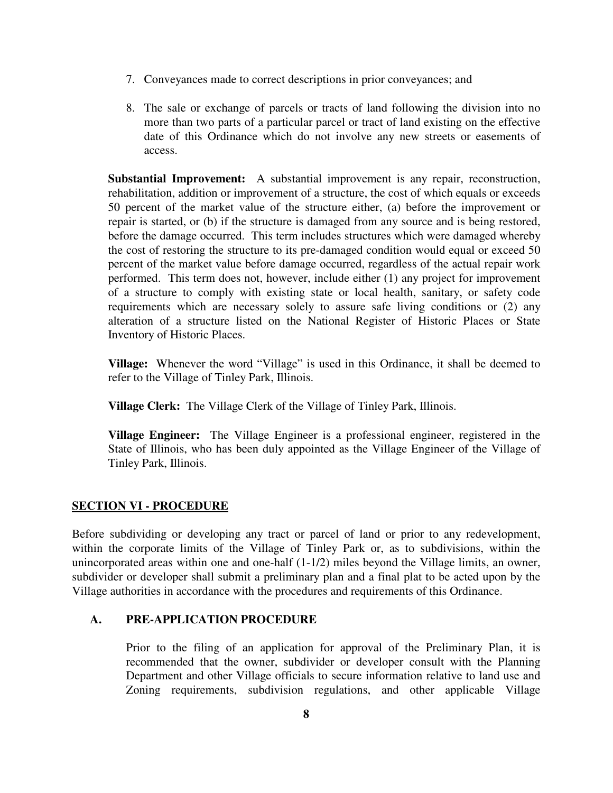- 7. Conveyances made to correct descriptions in prior conveyances; and
- 8. The sale or exchange of parcels or tracts of land following the division into no more than two parts of a particular parcel or tract of land existing on the effective date of this Ordinance which do not involve any new streets or easements of access.

**Substantial Improvement:** A substantial improvement is any repair, reconstruction, rehabilitation, addition or improvement of a structure, the cost of which equals or exceeds 50 percent of the market value of the structure either, (a) before the improvement or repair is started, or (b) if the structure is damaged from any source and is being restored, before the damage occurred. This term includes structures which were damaged whereby the cost of restoring the structure to its pre-damaged condition would equal or exceed 50 percent of the market value before damage occurred, regardless of the actual repair work performed. This term does not, however, include either (1) any project for improvement of a structure to comply with existing state or local health, sanitary, or safety code requirements which are necessary solely to assure safe living conditions or (2) any alteration of a structure listed on the National Register of Historic Places or State Inventory of Historic Places.

**Village:** Whenever the word "Village" is used in this Ordinance, it shall be deemed to refer to the Village of Tinley Park, Illinois.

**Village Clerk:** The Village Clerk of the Village of Tinley Park, Illinois.

**Village Engineer:** The Village Engineer is a professional engineer, registered in the State of Illinois, who has been duly appointed as the Village Engineer of the Village of Tinley Park, Illinois.

# **SECTION VI - PROCEDURE**

Before subdividing or developing any tract or parcel of land or prior to any redevelopment, within the corporate limits of the Village of Tinley Park or, as to subdivisions, within the unincorporated areas within one and one-half (1-1/2) miles beyond the Village limits, an owner, subdivider or developer shall submit a preliminary plan and a final plat to be acted upon by the Village authorities in accordance with the procedures and requirements of this Ordinance.

### **A. PRE-APPLICATION PROCEDURE**

Prior to the filing of an application for approval of the Preliminary Plan, it is recommended that the owner, subdivider or developer consult with the Planning Department and other Village officials to secure information relative to land use and Zoning requirements, subdivision regulations, and other applicable Village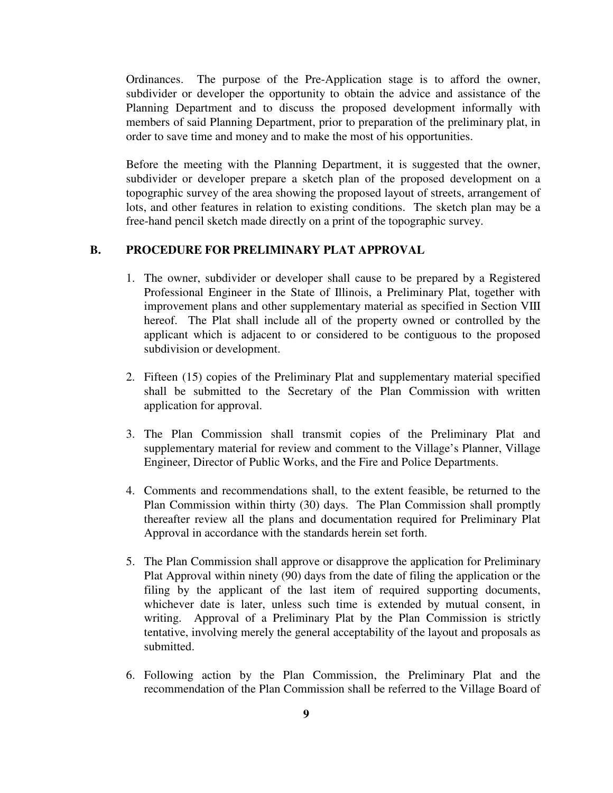Ordinances. The purpose of the Pre-Application stage is to afford the owner, subdivider or developer the opportunity to obtain the advice and assistance of the Planning Department and to discuss the proposed development informally with members of said Planning Department, prior to preparation of the preliminary plat, in order to save time and money and to make the most of his opportunities.

Before the meeting with the Planning Department, it is suggested that the owner, subdivider or developer prepare a sketch plan of the proposed development on a topographic survey of the area showing the proposed layout of streets, arrangement of lots, and other features in relation to existing conditions. The sketch plan may be a free-hand pencil sketch made directly on a print of the topographic survey.

### **B. PROCEDURE FOR PRELIMINARY PLAT APPROVAL**

- 1. The owner, subdivider or developer shall cause to be prepared by a Registered Professional Engineer in the State of Illinois, a Preliminary Plat, together with improvement plans and other supplementary material as specified in Section VIII hereof. The Plat shall include all of the property owned or controlled by the applicant which is adjacent to or considered to be contiguous to the proposed subdivision or development.
- 2. Fifteen (15) copies of the Preliminary Plat and supplementary material specified shall be submitted to the Secretary of the Plan Commission with written application for approval.
- 3. The Plan Commission shall transmit copies of the Preliminary Plat and supplementary material for review and comment to the Village's Planner, Village Engineer, Director of Public Works, and the Fire and Police Departments.
- 4. Comments and recommendations shall, to the extent feasible, be returned to the Plan Commission within thirty (30) days. The Plan Commission shall promptly thereafter review all the plans and documentation required for Preliminary Plat Approval in accordance with the standards herein set forth.
- 5. The Plan Commission shall approve or disapprove the application for Preliminary Plat Approval within ninety (90) days from the date of filing the application or the filing by the applicant of the last item of required supporting documents, whichever date is later, unless such time is extended by mutual consent, in writing. Approval of a Preliminary Plat by the Plan Commission is strictly tentative, involving merely the general acceptability of the layout and proposals as submitted.
- 6. Following action by the Plan Commission, the Preliminary Plat and the recommendation of the Plan Commission shall be referred to the Village Board of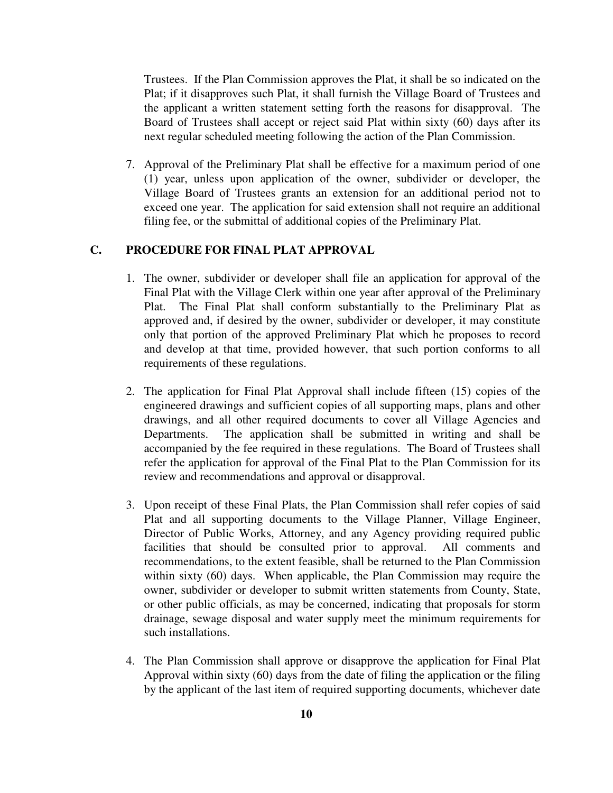Trustees. If the Plan Commission approves the Plat, it shall be so indicated on the Plat; if it disapproves such Plat, it shall furnish the Village Board of Trustees and the applicant a written statement setting forth the reasons for disapproval. The Board of Trustees shall accept or reject said Plat within sixty (60) days after its next regular scheduled meeting following the action of the Plan Commission.

7. Approval of the Preliminary Plat shall be effective for a maximum period of one (1) year, unless upon application of the owner, subdivider or developer, the Village Board of Trustees grants an extension for an additional period not to exceed one year. The application for said extension shall not require an additional filing fee, or the submittal of additional copies of the Preliminary Plat.

# **C. PROCEDURE FOR FINAL PLAT APPROVAL**

- 1. The owner, subdivider or developer shall file an application for approval of the Final Plat with the Village Clerk within one year after approval of the Preliminary Plat. The Final Plat shall conform substantially to the Preliminary Plat as approved and, if desired by the owner, subdivider or developer, it may constitute only that portion of the approved Preliminary Plat which he proposes to record and develop at that time, provided however, that such portion conforms to all requirements of these regulations.
- 2. The application for Final Plat Approval shall include fifteen (15) copies of the engineered drawings and sufficient copies of all supporting maps, plans and other drawings, and all other required documents to cover all Village Agencies and Departments. The application shall be submitted in writing and shall be accompanied by the fee required in these regulations. The Board of Trustees shall refer the application for approval of the Final Plat to the Plan Commission for its review and recommendations and approval or disapproval.
- 3. Upon receipt of these Final Plats, the Plan Commission shall refer copies of said Plat and all supporting documents to the Village Planner, Village Engineer, Director of Public Works, Attorney, and any Agency providing required public facilities that should be consulted prior to approval. All comments and recommendations, to the extent feasible, shall be returned to the Plan Commission within sixty (60) days. When applicable, the Plan Commission may require the owner, subdivider or developer to submit written statements from County, State, or other public officials, as may be concerned, indicating that proposals for storm drainage, sewage disposal and water supply meet the minimum requirements for such installations.
- 4. The Plan Commission shall approve or disapprove the application for Final Plat Approval within sixty (60) days from the date of filing the application or the filing by the applicant of the last item of required supporting documents, whichever date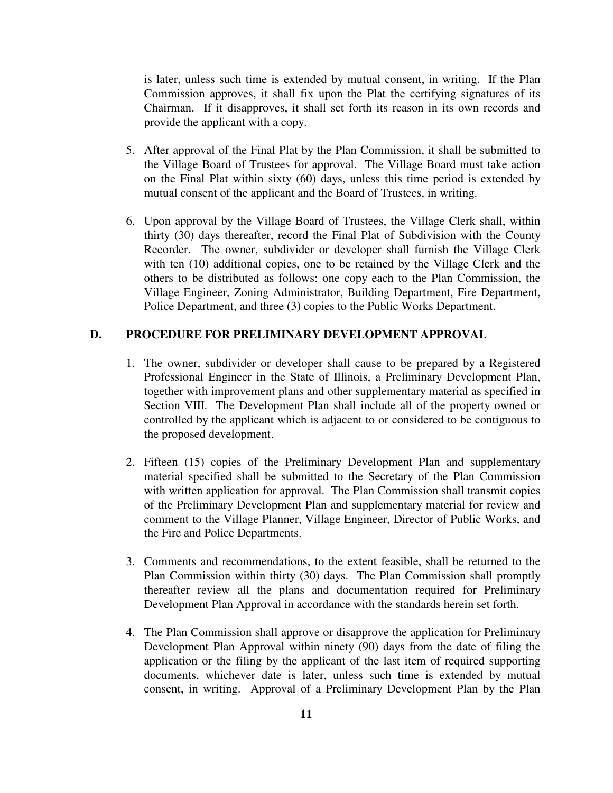is later, unless such time is extended by mutual consent, in writing. If the Plan Commission approves, it shall fix upon the Plat the certifying signatures of its Chairman. If it disapproves, it shall set forth its reason in its own records and provide the applicant with a copy.

- 5. After approval of the Final Plat by the Plan Commission, it shall be submitted to the Village Board of Trustees for approval. The Village Board must take action on the Final Plat within sixty (60) days, unless this time period is extended by mutual consent of the applicant and the Board of Trustees, in writing.
- 6. Upon approval by the Village Board of Trustees, the Village Clerk shall, within thirty (30) days thereafter, record the Final Plat of Subdivision with the County Recorder. The owner, subdivider or developer shall furnish the Village Clerk with ten (10) additional copies, one to be retained by the Village Clerk and the others to be distributed as follows: one copy each to the Plan Commission, the Village Engineer, Zoning Administrator, Building Department, Fire Department, Police Department, and three (3) copies to the Public Works Department.

## **D. PROCEDURE FOR PRELIMINARY DEVELOPMENT APPROVAL**

- 1. The owner, subdivider or developer shall cause to be prepared by a Registered Professional Engineer in the State of Illinois, a Preliminary Development Plan, together with improvement plans and other supplementary material as specified in Section VIII. The Development Plan shall include all of the property owned or controlled by the applicant which is adjacent to or considered to be contiguous to the proposed development.
- 2. Fifteen (15) copies of the Preliminary Development Plan and supplementary material specified shall be submitted to the Secretary of the Plan Commission with written application for approval. The Plan Commission shall transmit copies of the Preliminary Development Plan and supplementary material for review and comment to the Village Planner, Village Engineer, Director of Public Works, and the Fire and Police Departments.
- 3. Comments and recommendations, to the extent feasible, shall be returned to the Plan Commission within thirty (30) days. The Plan Commission shall promptly thereafter review all the plans and documentation required for Preliminary Development Plan Approval in accordance with the standards herein set forth.
- 4. The Plan Commission shall approve or disapprove the application for Preliminary Development Plan Approval within ninety (90) days from the date of filing the application or the filing by the applicant of the last item of required supporting documents, whichever date is later, unless such time is extended by mutual consent, in writing. Approval of a Preliminary Development Plan by the Plan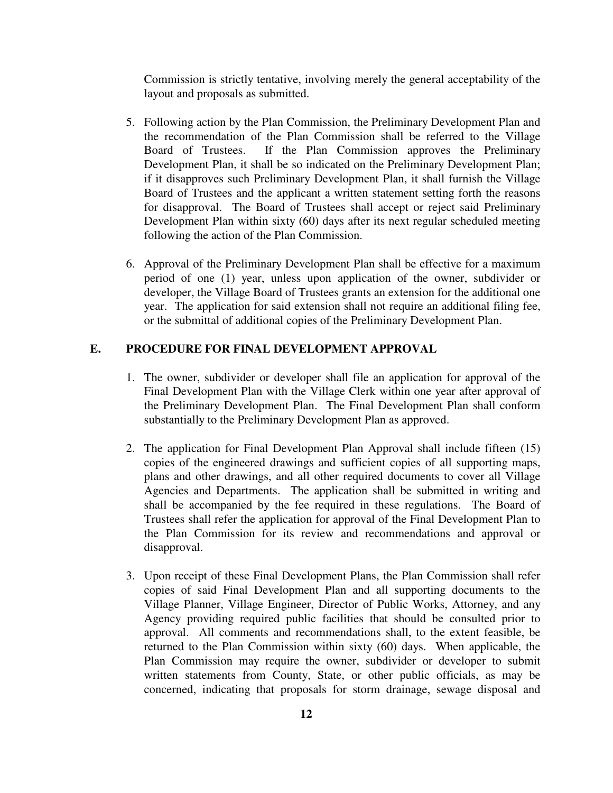Commission is strictly tentative, involving merely the general acceptability of the layout and proposals as submitted.

- 5. Following action by the Plan Commission, the Preliminary Development Plan and the recommendation of the Plan Commission shall be referred to the Village Board of Trustees. If the Plan Commission approves the Preliminary Development Plan, it shall be so indicated on the Preliminary Development Plan; if it disapproves such Preliminary Development Plan, it shall furnish the Village Board of Trustees and the applicant a written statement setting forth the reasons for disapproval. The Board of Trustees shall accept or reject said Preliminary Development Plan within sixty (60) days after its next regular scheduled meeting following the action of the Plan Commission.
- 6. Approval of the Preliminary Development Plan shall be effective for a maximum period of one (1) year, unless upon application of the owner, subdivider or developer, the Village Board of Trustees grants an extension for the additional one year. The application for said extension shall not require an additional filing fee, or the submittal of additional copies of the Preliminary Development Plan.

# **E. PROCEDURE FOR FINAL DEVELOPMENT APPROVAL**

- 1. The owner, subdivider or developer shall file an application for approval of the Final Development Plan with the Village Clerk within one year after approval of the Preliminary Development Plan. The Final Development Plan shall conform substantially to the Preliminary Development Plan as approved.
- 2. The application for Final Development Plan Approval shall include fifteen (15) copies of the engineered drawings and sufficient copies of all supporting maps, plans and other drawings, and all other required documents to cover all Village Agencies and Departments. The application shall be submitted in writing and shall be accompanied by the fee required in these regulations. The Board of Trustees shall refer the application for approval of the Final Development Plan to the Plan Commission for its review and recommendations and approval or disapproval.
- 3. Upon receipt of these Final Development Plans, the Plan Commission shall refer copies of said Final Development Plan and all supporting documents to the Village Planner, Village Engineer, Director of Public Works, Attorney, and any Agency providing required public facilities that should be consulted prior to approval. All comments and recommendations shall, to the extent feasible, be returned to the Plan Commission within sixty (60) days. When applicable, the Plan Commission may require the owner, subdivider or developer to submit written statements from County, State, or other public officials, as may be concerned, indicating that proposals for storm drainage, sewage disposal and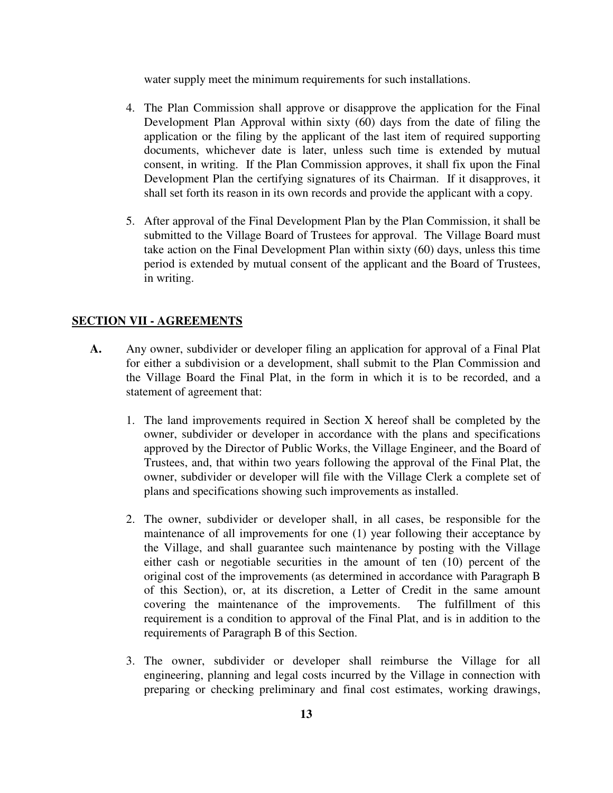water supply meet the minimum requirements for such installations.

- 4. The Plan Commission shall approve or disapprove the application for the Final Development Plan Approval within sixty (60) days from the date of filing the application or the filing by the applicant of the last item of required supporting documents, whichever date is later, unless such time is extended by mutual consent, in writing. If the Plan Commission approves, it shall fix upon the Final Development Plan the certifying signatures of its Chairman. If it disapproves, it shall set forth its reason in its own records and provide the applicant with a copy.
- 5. After approval of the Final Development Plan by the Plan Commission, it shall be submitted to the Village Board of Trustees for approval. The Village Board must take action on the Final Development Plan within sixty (60) days, unless this time period is extended by mutual consent of the applicant and the Board of Trustees, in writing.

#### **SECTION VII - AGREEMENTS**

- **A.** Any owner, subdivider or developer filing an application for approval of a Final Plat for either a subdivision or a development, shall submit to the Plan Commission and the Village Board the Final Plat, in the form in which it is to be recorded, and a statement of agreement that:
	- 1. The land improvements required in Section X hereof shall be completed by the owner, subdivider or developer in accordance with the plans and specifications approved by the Director of Public Works, the Village Engineer, and the Board of Trustees, and, that within two years following the approval of the Final Plat, the owner, subdivider or developer will file with the Village Clerk a complete set of plans and specifications showing such improvements as installed.
	- 2. The owner, subdivider or developer shall, in all cases, be responsible for the maintenance of all improvements for one (1) year following their acceptance by the Village, and shall guarantee such maintenance by posting with the Village either cash or negotiable securities in the amount of ten (10) percent of the original cost of the improvements (as determined in accordance with Paragraph B of this Section), or, at its discretion, a Letter of Credit in the same amount covering the maintenance of the improvements. The fulfillment of this requirement is a condition to approval of the Final Plat, and is in addition to the requirements of Paragraph B of this Section.
	- 3. The owner, subdivider or developer shall reimburse the Village for all engineering, planning and legal costs incurred by the Village in connection with preparing or checking preliminary and final cost estimates, working drawings,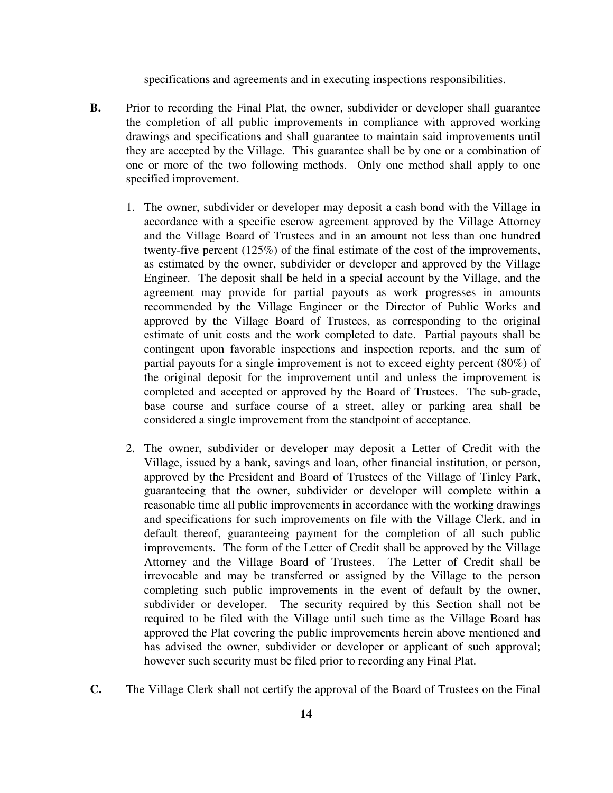specifications and agreements and in executing inspections responsibilities.

- **B.** Prior to recording the Final Plat, the owner, subdivider or developer shall guarantee the completion of all public improvements in compliance with approved working drawings and specifications and shall guarantee to maintain said improvements until they are accepted by the Village. This guarantee shall be by one or a combination of one or more of the two following methods. Only one method shall apply to one specified improvement.
	- 1. The owner, subdivider or developer may deposit a cash bond with the Village in accordance with a specific escrow agreement approved by the Village Attorney and the Village Board of Trustees and in an amount not less than one hundred twenty-five percent (125%) of the final estimate of the cost of the improvements, as estimated by the owner, subdivider or developer and approved by the Village Engineer. The deposit shall be held in a special account by the Village, and the agreement may provide for partial payouts as work progresses in amounts recommended by the Village Engineer or the Director of Public Works and approved by the Village Board of Trustees, as corresponding to the original estimate of unit costs and the work completed to date. Partial payouts shall be contingent upon favorable inspections and inspection reports, and the sum of partial payouts for a single improvement is not to exceed eighty percent (80%) of the original deposit for the improvement until and unless the improvement is completed and accepted or approved by the Board of Trustees. The sub-grade, base course and surface course of a street, alley or parking area shall be considered a single improvement from the standpoint of acceptance.
	- 2. The owner, subdivider or developer may deposit a Letter of Credit with the Village, issued by a bank, savings and loan, other financial institution, or person, approved by the President and Board of Trustees of the Village of Tinley Park, guaranteeing that the owner, subdivider or developer will complete within a reasonable time all public improvements in accordance with the working drawings and specifications for such improvements on file with the Village Clerk, and in default thereof, guaranteeing payment for the completion of all such public improvements. The form of the Letter of Credit shall be approved by the Village Attorney and the Village Board of Trustees. The Letter of Credit shall be irrevocable and may be transferred or assigned by the Village to the person completing such public improvements in the event of default by the owner, subdivider or developer. The security required by this Section shall not be required to be filed with the Village until such time as the Village Board has approved the Plat covering the public improvements herein above mentioned and has advised the owner, subdivider or developer or applicant of such approval; however such security must be filed prior to recording any Final Plat.
- **C.** The Village Clerk shall not certify the approval of the Board of Trustees on the Final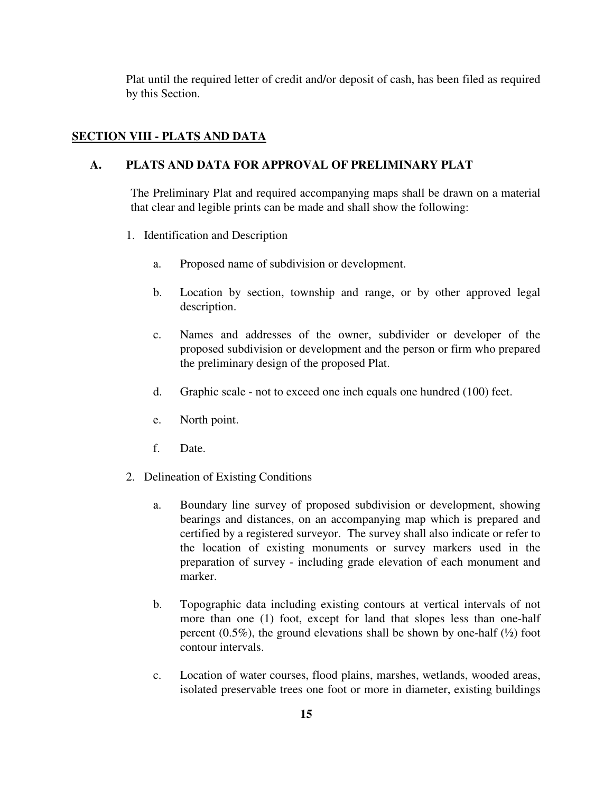Plat until the required letter of credit and/or deposit of cash, has been filed as required by this Section.

# **SECTION VIII - PLATS AND DATA**

### **A. PLATS AND DATA FOR APPROVAL OF PRELIMINARY PLAT**

The Preliminary Plat and required accompanying maps shall be drawn on a material that clear and legible prints can be made and shall show the following:

- 1. Identification and Description
	- a. Proposed name of subdivision or development.
	- b. Location by section, township and range, or by other approved legal description.
	- c. Names and addresses of the owner, subdivider or developer of the proposed subdivision or development and the person or firm who prepared the preliminary design of the proposed Plat.
	- d. Graphic scale not to exceed one inch equals one hundred (100) feet.
	- e. North point.
	- f. Date.
- 2. Delineation of Existing Conditions
	- a. Boundary line survey of proposed subdivision or development, showing bearings and distances, on an accompanying map which is prepared and certified by a registered surveyor. The survey shall also indicate or refer to the location of existing monuments or survey markers used in the preparation of survey - including grade elevation of each monument and marker.
	- b. Topographic data including existing contours at vertical intervals of not more than one (1) foot, except for land that slopes less than one-half percent  $(0.5\%)$ , the ground elevations shall be shown by one-half  $(\frac{1}{2})$  foot contour intervals.
	- c. Location of water courses, flood plains, marshes, wetlands, wooded areas, isolated preservable trees one foot or more in diameter, existing buildings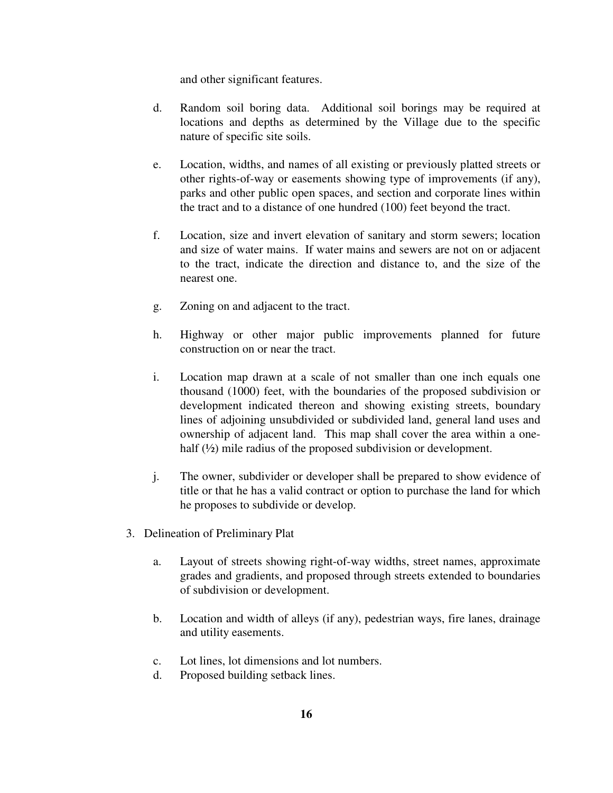and other significant features.

- d. Random soil boring data. Additional soil borings may be required at locations and depths as determined by the Village due to the specific nature of specific site soils.
- e. Location, widths, and names of all existing or previously platted streets or other rights-of-way or easements showing type of improvements (if any), parks and other public open spaces, and section and corporate lines within the tract and to a distance of one hundred (100) feet beyond the tract.
- f. Location, size and invert elevation of sanitary and storm sewers; location and size of water mains. If water mains and sewers are not on or adjacent to the tract, indicate the direction and distance to, and the size of the nearest one.
- g. Zoning on and adjacent to the tract.
- h. Highway or other major public improvements planned for future construction on or near the tract.
- i. Location map drawn at a scale of not smaller than one inch equals one thousand (1000) feet, with the boundaries of the proposed subdivision or development indicated thereon and showing existing streets, boundary lines of adjoining unsubdivided or subdivided land, general land uses and ownership of adjacent land. This map shall cover the area within a onehalf ( $\frac{1}{2}$ ) mile radius of the proposed subdivision or development.
- j. The owner, subdivider or developer shall be prepared to show evidence of title or that he has a valid contract or option to purchase the land for which he proposes to subdivide or develop.
- 3. Delineation of Preliminary Plat
	- a. Layout of streets showing right-of-way widths, street names, approximate grades and gradients, and proposed through streets extended to boundaries of subdivision or development.
	- b. Location and width of alleys (if any), pedestrian ways, fire lanes, drainage and utility easements.
	- c. Lot lines, lot dimensions and lot numbers.
	- d. Proposed building setback lines.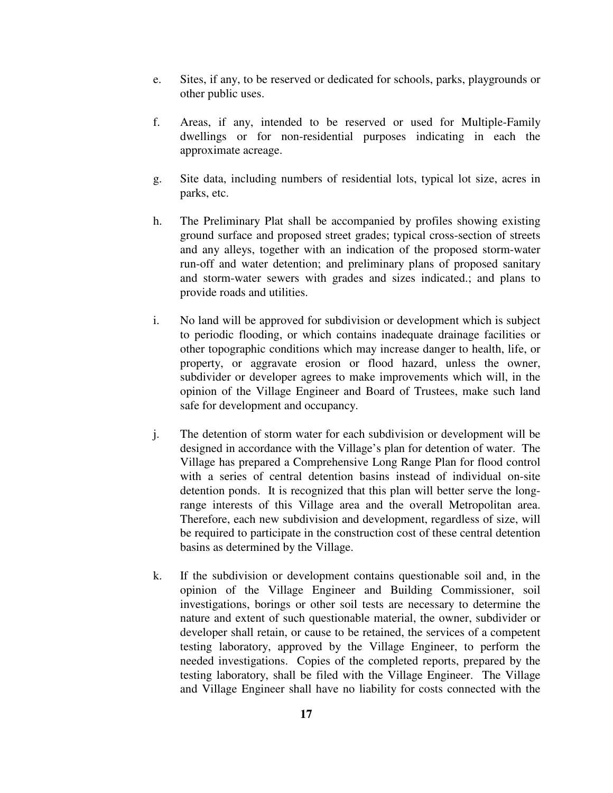- e. Sites, if any, to be reserved or dedicated for schools, parks, playgrounds or other public uses.
- f. Areas, if any, intended to be reserved or used for Multiple-Family dwellings or for non-residential purposes indicating in each the approximate acreage.
- g. Site data, including numbers of residential lots, typical lot size, acres in parks, etc.
- h. The Preliminary Plat shall be accompanied by profiles showing existing ground surface and proposed street grades; typical cross-section of streets and any alleys, together with an indication of the proposed storm-water run-off and water detention; and preliminary plans of proposed sanitary and storm-water sewers with grades and sizes indicated.; and plans to provide roads and utilities.
- i. No land will be approved for subdivision or development which is subject to periodic flooding, or which contains inadequate drainage facilities or other topographic conditions which may increase danger to health, life, or property, or aggravate erosion or flood hazard, unless the owner, subdivider or developer agrees to make improvements which will, in the opinion of the Village Engineer and Board of Trustees, make such land safe for development and occupancy.
- j. The detention of storm water for each subdivision or development will be designed in accordance with the Village's plan for detention of water. The Village has prepared a Comprehensive Long Range Plan for flood control with a series of central detention basins instead of individual on-site detention ponds. It is recognized that this plan will better serve the longrange interests of this Village area and the overall Metropolitan area. Therefore, each new subdivision and development, regardless of size, will be required to participate in the construction cost of these central detention basins as determined by the Village.
- k. If the subdivision or development contains questionable soil and, in the opinion of the Village Engineer and Building Commissioner, soil investigations, borings or other soil tests are necessary to determine the nature and extent of such questionable material, the owner, subdivider or developer shall retain, or cause to be retained, the services of a competent testing laboratory, approved by the Village Engineer, to perform the needed investigations. Copies of the completed reports, prepared by the testing laboratory, shall be filed with the Village Engineer. The Village and Village Engineer shall have no liability for costs connected with the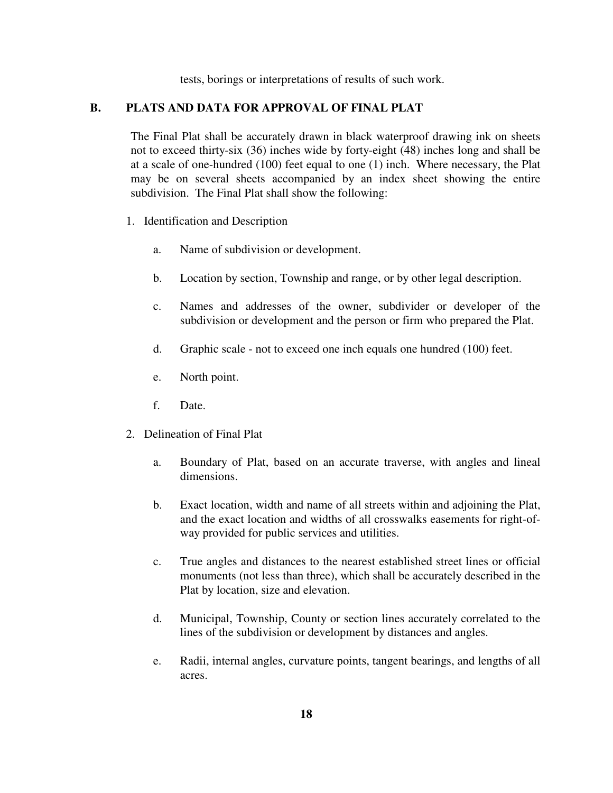tests, borings or interpretations of results of such work.

### **B. PLATS AND DATA FOR APPROVAL OF FINAL PLAT**

The Final Plat shall be accurately drawn in black waterproof drawing ink on sheets not to exceed thirty-six (36) inches wide by forty-eight (48) inches long and shall be at a scale of one-hundred (100) feet equal to one (1) inch. Where necessary, the Plat may be on several sheets accompanied by an index sheet showing the entire subdivision. The Final Plat shall show the following:

- 1. Identification and Description
	- a. Name of subdivision or development.
	- b. Location by section, Township and range, or by other legal description.
	- c. Names and addresses of the owner, subdivider or developer of the subdivision or development and the person or firm who prepared the Plat.
	- d. Graphic scale not to exceed one inch equals one hundred (100) feet.
	- e. North point.
	- f. Date.
- 2. Delineation of Final Plat
	- a. Boundary of Plat, based on an accurate traverse, with angles and lineal dimensions.
	- b. Exact location, width and name of all streets within and adjoining the Plat, and the exact location and widths of all crosswalks easements for right-ofway provided for public services and utilities.
	- c. True angles and distances to the nearest established street lines or official monuments (not less than three), which shall be accurately described in the Plat by location, size and elevation.
	- d. Municipal, Township, County or section lines accurately correlated to the lines of the subdivision or development by distances and angles.
	- e. Radii, internal angles, curvature points, tangent bearings, and lengths of all acres.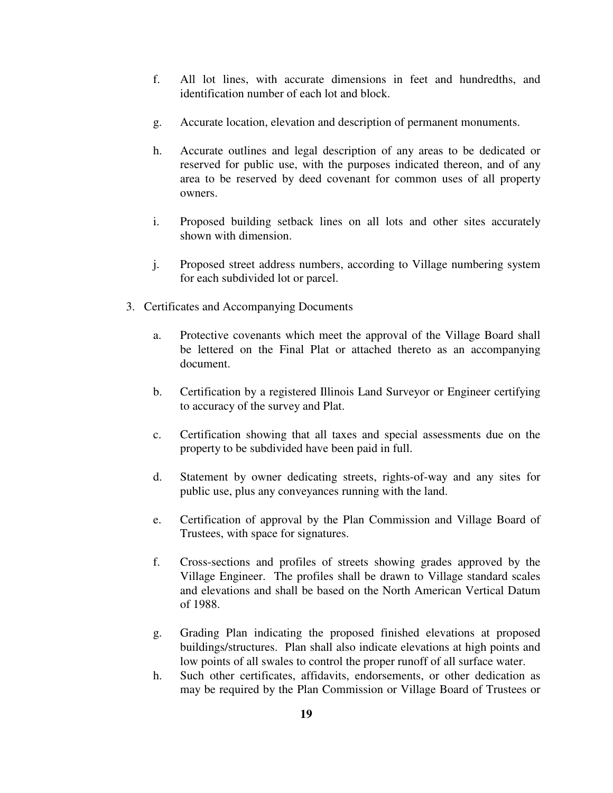- f. All lot lines, with accurate dimensions in feet and hundredths, and identification number of each lot and block.
- g. Accurate location, elevation and description of permanent monuments.
- h. Accurate outlines and legal description of any areas to be dedicated or reserved for public use, with the purposes indicated thereon, and of any area to be reserved by deed covenant for common uses of all property owners.
- i. Proposed building setback lines on all lots and other sites accurately shown with dimension.
- j. Proposed street address numbers, according to Village numbering system for each subdivided lot or parcel.
- 3. Certificates and Accompanying Documents
	- a. Protective covenants which meet the approval of the Village Board shall be lettered on the Final Plat or attached thereto as an accompanying document.
	- b. Certification by a registered Illinois Land Surveyor or Engineer certifying to accuracy of the survey and Plat.
	- c. Certification showing that all taxes and special assessments due on the property to be subdivided have been paid in full.
	- d. Statement by owner dedicating streets, rights-of-way and any sites for public use, plus any conveyances running with the land.
	- e. Certification of approval by the Plan Commission and Village Board of Trustees, with space for signatures.
	- f. Cross-sections and profiles of streets showing grades approved by the Village Engineer. The profiles shall be drawn to Village standard scales and elevations and shall be based on the North American Vertical Datum of 1988.
	- g. Grading Plan indicating the proposed finished elevations at proposed buildings/structures. Plan shall also indicate elevations at high points and low points of all swales to control the proper runoff of all surface water.
	- h. Such other certificates, affidavits, endorsements, or other dedication as may be required by the Plan Commission or Village Board of Trustees or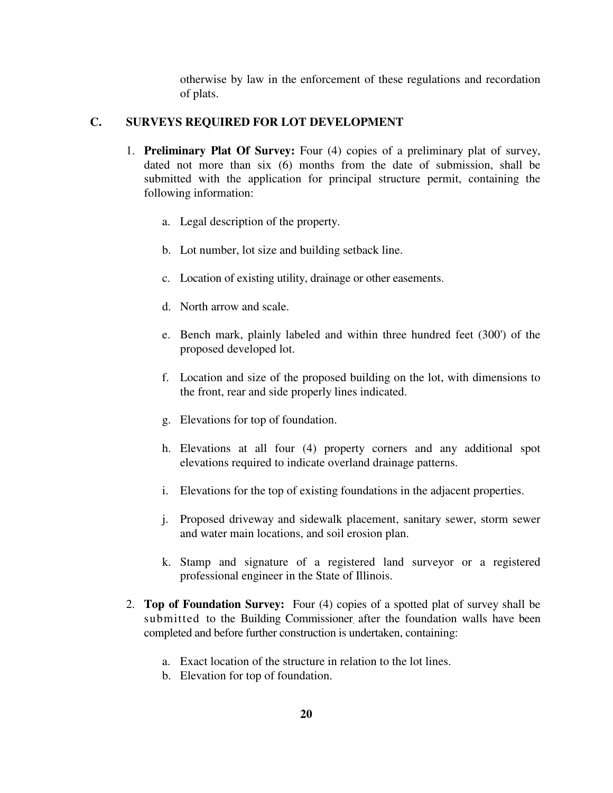otherwise by law in the enforcement of these regulations and recordation of plats.

# **C. SURVEYS REQUIRED FOR LOT DEVELOPMENT**

- 1. **Preliminary Plat Of Survey:** Four (4) copies of a preliminary plat of survey, dated not more than six (6) months from the date of submission, shall be submitted with the application for principal structure permit, containing the following information:
	- a. Legal description of the property.
	- b. Lot number, lot size and building setback line.
	- c. Location of existing utility, drainage or other easements.
	- d. North arrow and scale.
	- e. Bench mark, plainly labeled and within three hundred feet (300') of the proposed developed lot.
	- f. Location and size of the proposed building on the lot, with dimensions to the front, rear and side properly lines indicated.
	- g. Elevations for top of foundation.
	- h. Elevations at all four (4) property corners and any additional spot elevations required to indicate overland drainage patterns.
	- i. Elevations for the top of existing foundations in the adjacent properties.
	- j. Proposed driveway and sidewalk placement, sanitary sewer, storm sewer and water main locations, and soil erosion plan.
	- k. Stamp and signature of a registered land surveyor or a registered professional engineer in the State of Illinois.
- 2. **Top of Foundation Survey:** Four (4) copies of a spotted plat of survey shall be submitted to the Building Commissioner after the foundation walls have been completed and before further construction is undertaken, containing:
	- a. Exact location of the structure in relation to the lot lines.
	- b. Elevation for top of foundation.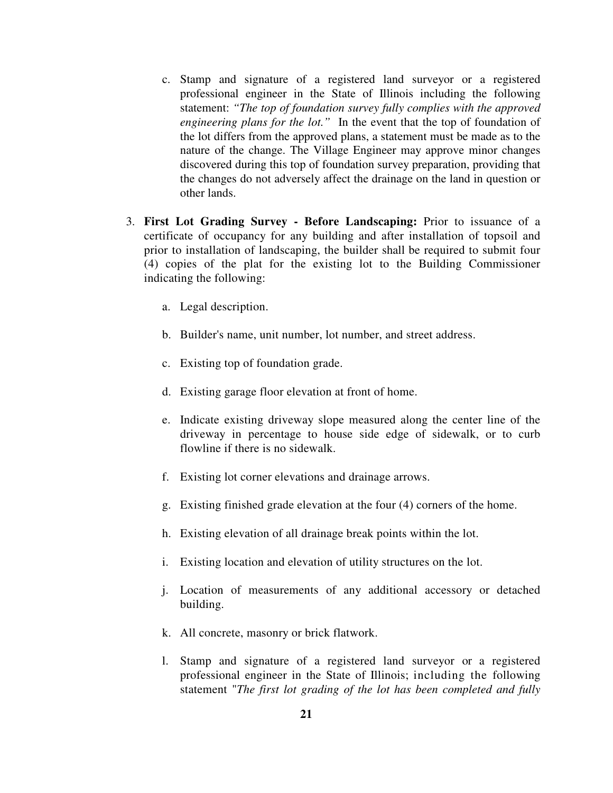- c. Stamp and signature of a registered land surveyor or a registered professional engineer in the State of Illinois including the following statement: *"The top of foundation survey fully complies with the approved engineering plans for the lot."* In the event that the top of foundation of the lot differs from the approved plans, a statement must be made as to the nature of the change. The Village Engineer may approve minor changes discovered during this top of foundation survey preparation, providing that the changes do not adversely affect the drainage on the land in question or other lands.
- 3. **First Lot Grading Survey Before Landscaping:** Prior to issuance of a certificate of occupancy for any building and after installation of topsoil and prior to installation of landscaping, the builder shall be required to submit four (4) copies of the plat for the existing lot to the Building Commissioner indicating the following:
	- a. Legal description.
	- b. Builder's name, unit number, lot number, and street address.
	- c. Existing top of foundation grade.
	- d. Existing garage floor elevation at front of home.
	- e. Indicate existing driveway slope measured along the center line of the driveway in percentage to house side edge of sidewalk, or to curb flowline if there is no sidewalk.
	- f. Existing lot corner elevations and drainage arrows.
	- g. Existing finished grade elevation at the four (4) corners of the home.
	- h. Existing elevation of all drainage break points within the lot.
	- i. Existing location and elevation of utility structures on the lot.
	- j. Location of measurements of any additional accessory or detached building.
	- k. All concrete, masonry or brick flatwork.
	- l. Stamp and signature of a registered land surveyor or a registered professional engineer in the State of Illinois; including the following statement "*The first lot grading of the lot has been completed and fully*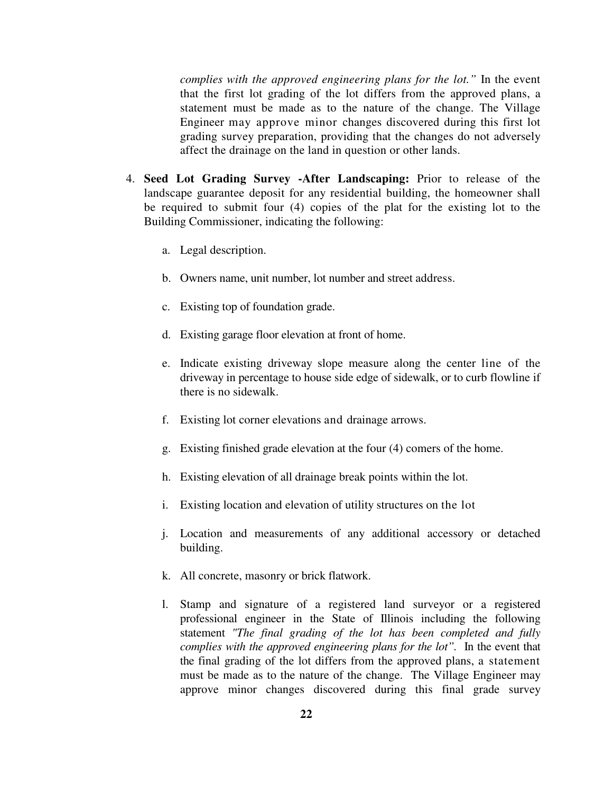*complies with the approved engineering plans for the lot."* In the event that the first lot grading of the lot differs from the approved plans, a statement must be made as to the nature of the change. The Village Engineer may approve minor changes discovered during this first lot grading survey preparation, providing that the changes do not adversely affect the drainage on the land in question or other lands.

- 4. **Seed Lot Grading Survey -After Landscaping:** Prior to release of the landscape guarantee deposit for any residential building, the homeowner shall be required to submit four (4) copies of the plat for the existing lot to the Building Commissioner, indicating the following:
	- a. Legal description.
	- b. Owners name, unit number, lot number and street address.
	- c. Existing top of foundation grade.
	- d. Existing garage floor elevation at front of home.
	- e. Indicate existing driveway slope measure along the center line of the driveway in percentage to house side edge of sidewalk, or to curb flowline if there is no sidewalk.
	- f. Existing lot corner elevations and drainage arrows.
	- g. Existing finished grade elevation at the four (4) comers of the home.
	- h. Existing elevation of all drainage break points within the lot.
	- i. Existing location and elevation of utility structures on the lot
	- j. Location and measurements of any additional accessory or detached building.
	- k. All concrete, masonry or brick flatwork.
	- l. Stamp and signature of a registered land surveyor or a registered professional engineer in the State of Illinois including the following statement *"The final grading of the lot has been completed and fully complies with the approved engineering plans for the lot".* In the event that the final grading of the lot differs from the approved plans, a statement must be made as to the nature of the change. The Village Engineer may approve minor changes discovered during this final grade survey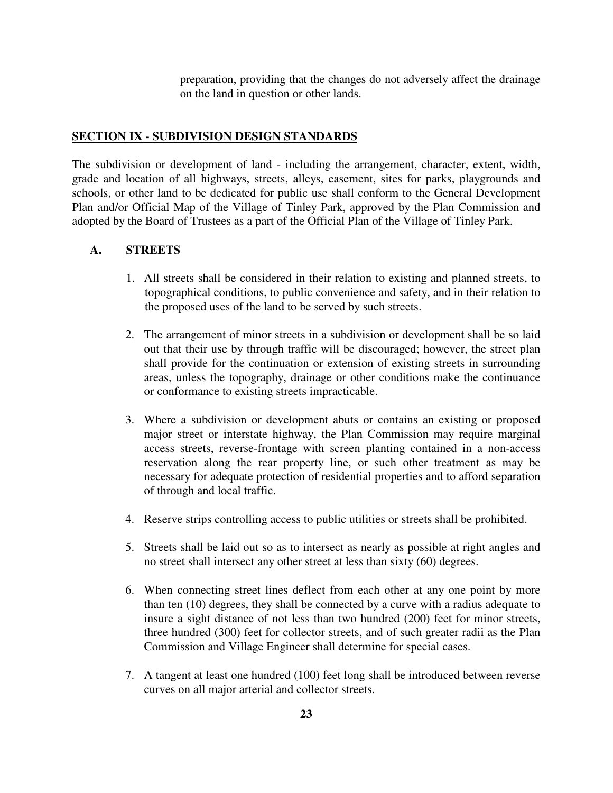preparation, providing that the changes do not adversely affect the drainage on the land in question or other lands.

#### **SECTION IX - SUBDIVISION DESIGN STANDARDS**

The subdivision or development of land - including the arrangement, character, extent, width, grade and location of all highways, streets, alleys, easement, sites for parks, playgrounds and schools, or other land to be dedicated for public use shall conform to the General Development Plan and/or Official Map of the Village of Tinley Park, approved by the Plan Commission and adopted by the Board of Trustees as a part of the Official Plan of the Village of Tinley Park.

#### **A. STREETS**

- 1. All streets shall be considered in their relation to existing and planned streets, to topographical conditions, to public convenience and safety, and in their relation to the proposed uses of the land to be served by such streets.
- 2. The arrangement of minor streets in a subdivision or development shall be so laid out that their use by through traffic will be discouraged; however, the street plan shall provide for the continuation or extension of existing streets in surrounding areas, unless the topography, drainage or other conditions make the continuance or conformance to existing streets impracticable.
- 3. Where a subdivision or development abuts or contains an existing or proposed major street or interstate highway, the Plan Commission may require marginal access streets, reverse-frontage with screen planting contained in a non-access reservation along the rear property line, or such other treatment as may be necessary for adequate protection of residential properties and to afford separation of through and local traffic.
- 4. Reserve strips controlling access to public utilities or streets shall be prohibited.
- 5. Streets shall be laid out so as to intersect as nearly as possible at right angles and no street shall intersect any other street at less than sixty (60) degrees.
- 6. When connecting street lines deflect from each other at any one point by more than ten (10) degrees, they shall be connected by a curve with a radius adequate to insure a sight distance of not less than two hundred (200) feet for minor streets, three hundred (300) feet for collector streets, and of such greater radii as the Plan Commission and Village Engineer shall determine for special cases.
- 7. A tangent at least one hundred (100) feet long shall be introduced between reverse curves on all major arterial and collector streets.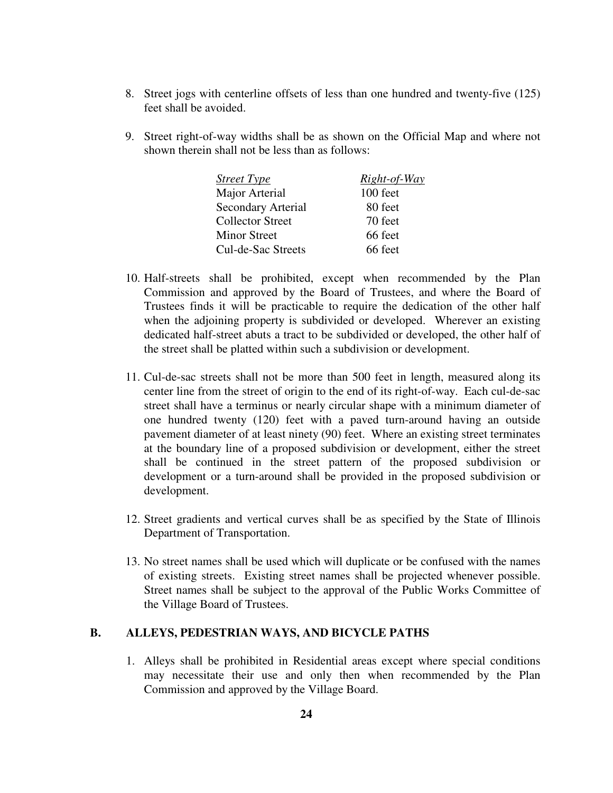- 8. Street jogs with centerline offsets of less than one hundred and twenty-five (125) feet shall be avoided.
- 9. Street right-of-way widths shall be as shown on the Official Map and where not shown therein shall not be less than as follows:

| Street Type             | Right-of-Way |
|-------------------------|--------------|
| Major Arterial          | 100 feet     |
| Secondary Arterial      | 80 feet      |
| <b>Collector Street</b> | 70 feet      |
| <b>Minor Street</b>     | 66 feet      |
| Cul-de-Sac Streets      | 66 feet      |

- 10. Half-streets shall be prohibited, except when recommended by the Plan Commission and approved by the Board of Trustees, and where the Board of Trustees finds it will be practicable to require the dedication of the other half when the adjoining property is subdivided or developed. Wherever an existing dedicated half-street abuts a tract to be subdivided or developed, the other half of the street shall be platted within such a subdivision or development.
- 11. Cul-de-sac streets shall not be more than 500 feet in length, measured along its center line from the street of origin to the end of its right-of-way. Each cul-de-sac street shall have a terminus or nearly circular shape with a minimum diameter of one hundred twenty (120) feet with a paved turn-around having an outside pavement diameter of at least ninety (90) feet. Where an existing street terminates at the boundary line of a proposed subdivision or development, either the street shall be continued in the street pattern of the proposed subdivision or development or a turn-around shall be provided in the proposed subdivision or development.
- 12. Street gradients and vertical curves shall be as specified by the State of Illinois Department of Transportation.
- 13. No street names shall be used which will duplicate or be confused with the names of existing streets. Existing street names shall be projected whenever possible. Street names shall be subject to the approval of the Public Works Committee of the Village Board of Trustees.

### **B. ALLEYS, PEDESTRIAN WAYS, AND BICYCLE PATHS**

1. Alleys shall be prohibited in Residential areas except where special conditions may necessitate their use and only then when recommended by the Plan Commission and approved by the Village Board.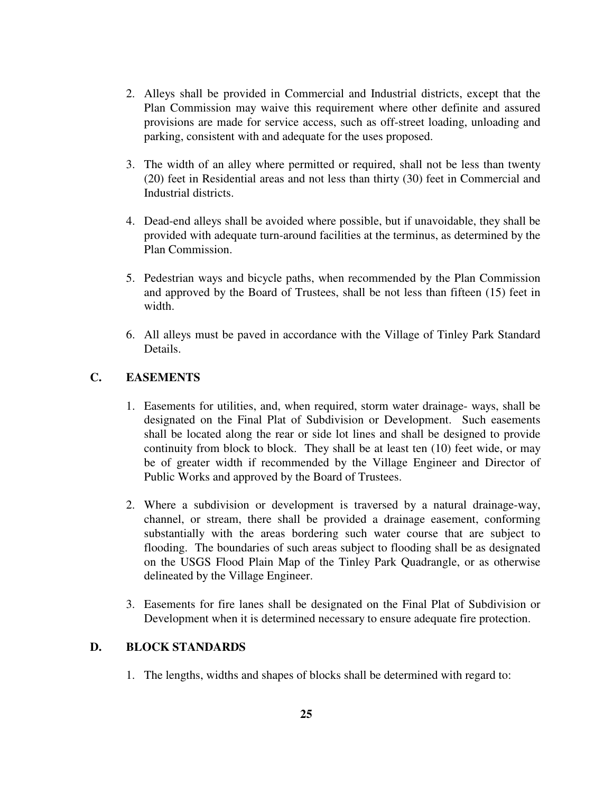- 2. Alleys shall be provided in Commercial and Industrial districts, except that the Plan Commission may waive this requirement where other definite and assured provisions are made for service access, such as off-street loading, unloading and parking, consistent with and adequate for the uses proposed.
- 3. The width of an alley where permitted or required, shall not be less than twenty (20) feet in Residential areas and not less than thirty (30) feet in Commercial and Industrial districts.
- 4. Dead-end alleys shall be avoided where possible, but if unavoidable, they shall be provided with adequate turn-around facilities at the terminus, as determined by the Plan Commission.
- 5. Pedestrian ways and bicycle paths, when recommended by the Plan Commission and approved by the Board of Trustees, shall be not less than fifteen (15) feet in width.
- 6. All alleys must be paved in accordance with the Village of Tinley Park Standard Details.

# **C. EASEMENTS**

- 1. Easements for utilities, and, when required, storm water drainage- ways, shall be designated on the Final Plat of Subdivision or Development. Such easements shall be located along the rear or side lot lines and shall be designed to provide continuity from block to block. They shall be at least ten (10) feet wide, or may be of greater width if recommended by the Village Engineer and Director of Public Works and approved by the Board of Trustees.
- 2. Where a subdivision or development is traversed by a natural drainage-way, channel, or stream, there shall be provided a drainage easement, conforming substantially with the areas bordering such water course that are subject to flooding. The boundaries of such areas subject to flooding shall be as designated on the USGS Flood Plain Map of the Tinley Park Quadrangle, or as otherwise delineated by the Village Engineer.
- 3. Easements for fire lanes shall be designated on the Final Plat of Subdivision or Development when it is determined necessary to ensure adequate fire protection.

# **D. BLOCK STANDARDS**

1. The lengths, widths and shapes of blocks shall be determined with regard to: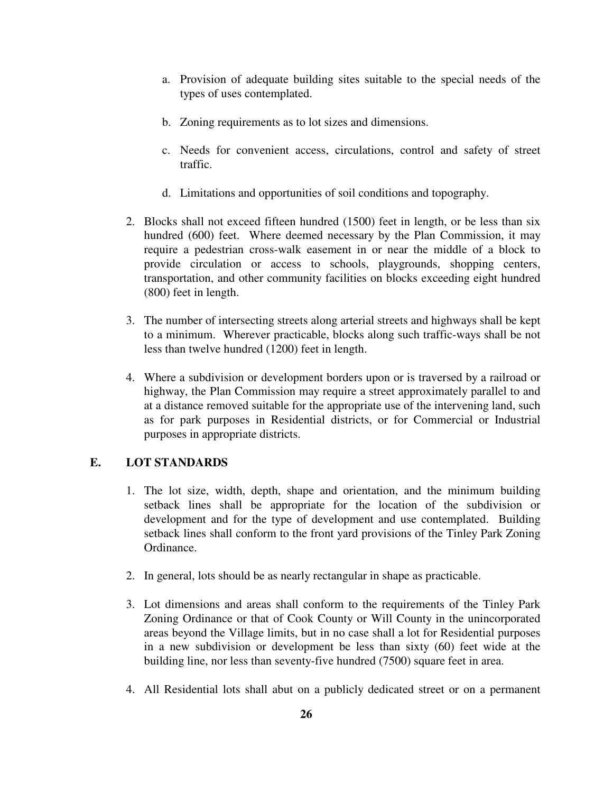- a. Provision of adequate building sites suitable to the special needs of the types of uses contemplated.
- b. Zoning requirements as to lot sizes and dimensions.
- c. Needs for convenient access, circulations, control and safety of street traffic.
- d. Limitations and opportunities of soil conditions and topography.
- 2. Blocks shall not exceed fifteen hundred (1500) feet in length, or be less than six hundred (600) feet. Where deemed necessary by the Plan Commission, it may require a pedestrian cross-walk easement in or near the middle of a block to provide circulation or access to schools, playgrounds, shopping centers, transportation, and other community facilities on blocks exceeding eight hundred (800) feet in length.
- 3. The number of intersecting streets along arterial streets and highways shall be kept to a minimum. Wherever practicable, blocks along such traffic-ways shall be not less than twelve hundred (1200) feet in length.
- 4. Where a subdivision or development borders upon or is traversed by a railroad or highway, the Plan Commission may require a street approximately parallel to and at a distance removed suitable for the appropriate use of the intervening land, such as for park purposes in Residential districts, or for Commercial or Industrial purposes in appropriate districts.

# **E. LOT STANDARDS**

- 1. The lot size, width, depth, shape and orientation, and the minimum building setback lines shall be appropriate for the location of the subdivision or development and for the type of development and use contemplated. Building setback lines shall conform to the front yard provisions of the Tinley Park Zoning Ordinance.
- 2. In general, lots should be as nearly rectangular in shape as practicable.
- 3. Lot dimensions and areas shall conform to the requirements of the Tinley Park Zoning Ordinance or that of Cook County or Will County in the unincorporated areas beyond the Village limits, but in no case shall a lot for Residential purposes in a new subdivision or development be less than sixty (60) feet wide at the building line, nor less than seventy-five hundred (7500) square feet in area.
- 4. All Residential lots shall abut on a publicly dedicated street or on a permanent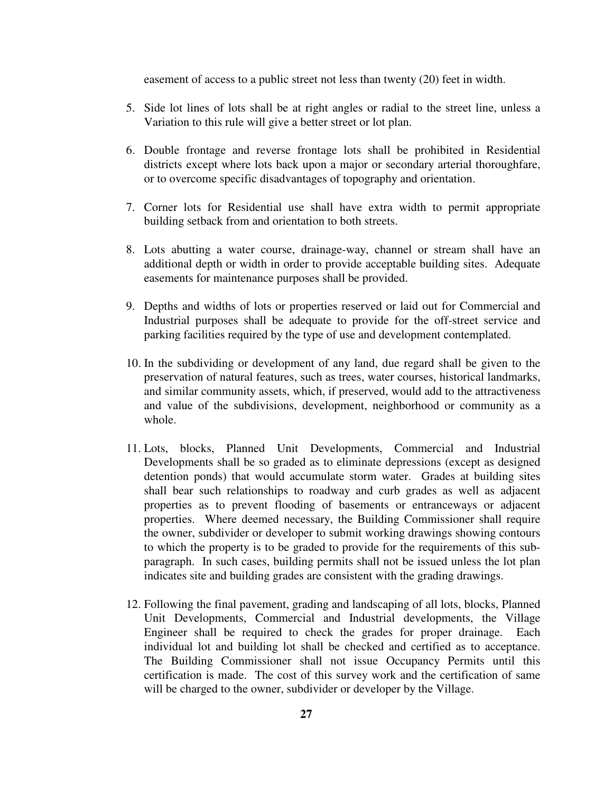easement of access to a public street not less than twenty (20) feet in width.

- 5. Side lot lines of lots shall be at right angles or radial to the street line, unless a Variation to this rule will give a better street or lot plan.
- 6. Double frontage and reverse frontage lots shall be prohibited in Residential districts except where lots back upon a major or secondary arterial thoroughfare, or to overcome specific disadvantages of topography and orientation.
- 7. Corner lots for Residential use shall have extra width to permit appropriate building setback from and orientation to both streets.
- 8. Lots abutting a water course, drainage-way, channel or stream shall have an additional depth or width in order to provide acceptable building sites. Adequate easements for maintenance purposes shall be provided.
- 9. Depths and widths of lots or properties reserved or laid out for Commercial and Industrial purposes shall be adequate to provide for the off-street service and parking facilities required by the type of use and development contemplated.
- 10. In the subdividing or development of any land, due regard shall be given to the preservation of natural features, such as trees, water courses, historical landmarks, and similar community assets, which, if preserved, would add to the attractiveness and value of the subdivisions, development, neighborhood or community as a whole.
- 11. Lots, blocks, Planned Unit Developments, Commercial and Industrial Developments shall be so graded as to eliminate depressions (except as designed detention ponds) that would accumulate storm water. Grades at building sites shall bear such relationships to roadway and curb grades as well as adjacent properties as to prevent flooding of basements or entranceways or adjacent properties. Where deemed necessary, the Building Commissioner shall require the owner, subdivider or developer to submit working drawings showing contours to which the property is to be graded to provide for the requirements of this subparagraph. In such cases, building permits shall not be issued unless the lot plan indicates site and building grades are consistent with the grading drawings.
- 12. Following the final pavement, grading and landscaping of all lots, blocks, Planned Unit Developments, Commercial and Industrial developments, the Village Engineer shall be required to check the grades for proper drainage. Each individual lot and building lot shall be checked and certified as to acceptance. The Building Commissioner shall not issue Occupancy Permits until this certification is made. The cost of this survey work and the certification of same will be charged to the owner, subdivider or developer by the Village.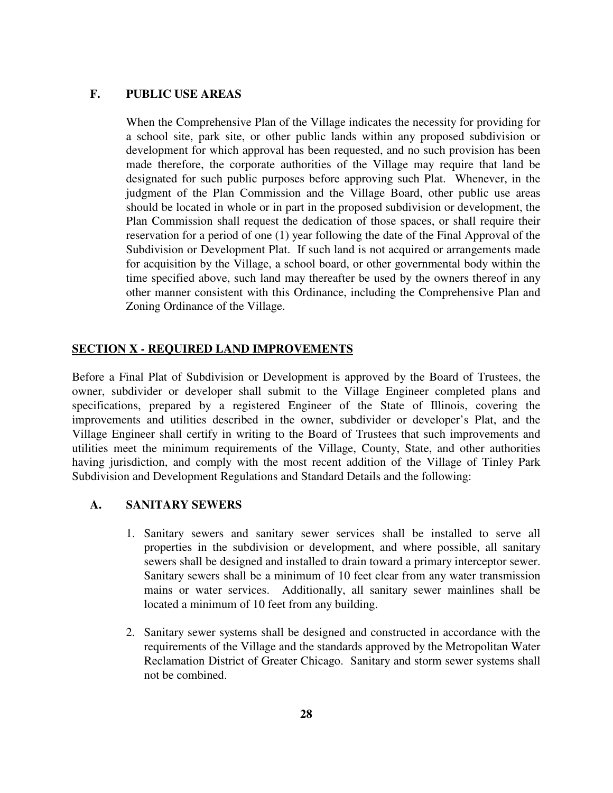## **F. PUBLIC USE AREAS**

When the Comprehensive Plan of the Village indicates the necessity for providing for a school site, park site, or other public lands within any proposed subdivision or development for which approval has been requested, and no such provision has been made therefore, the corporate authorities of the Village may require that land be designated for such public purposes before approving such Plat. Whenever, in the judgment of the Plan Commission and the Village Board, other public use areas should be located in whole or in part in the proposed subdivision or development, the Plan Commission shall request the dedication of those spaces, or shall require their reservation for a period of one (1) year following the date of the Final Approval of the Subdivision or Development Plat. If such land is not acquired or arrangements made for acquisition by the Village, a school board, or other governmental body within the time specified above, such land may thereafter be used by the owners thereof in any other manner consistent with this Ordinance, including the Comprehensive Plan and Zoning Ordinance of the Village.

### **SECTION X - REQUIRED LAND IMPROVEMENTS**

Before a Final Plat of Subdivision or Development is approved by the Board of Trustees, the owner, subdivider or developer shall submit to the Village Engineer completed plans and specifications, prepared by a registered Engineer of the State of Illinois, covering the improvements and utilities described in the owner, subdivider or developer's Plat, and the Village Engineer shall certify in writing to the Board of Trustees that such improvements and utilities meet the minimum requirements of the Village, County, State, and other authorities having jurisdiction, and comply with the most recent addition of the Village of Tinley Park Subdivision and Development Regulations and Standard Details and the following:

#### **A. SANITARY SEWERS**

- 1. Sanitary sewers and sanitary sewer services shall be installed to serve all properties in the subdivision or development, and where possible, all sanitary sewers shall be designed and installed to drain toward a primary interceptor sewer. Sanitary sewers shall be a minimum of 10 feet clear from any water transmission mains or water services. Additionally, all sanitary sewer mainlines shall be located a minimum of 10 feet from any building.
- 2. Sanitary sewer systems shall be designed and constructed in accordance with the requirements of the Village and the standards approved by the Metropolitan Water Reclamation District of Greater Chicago. Sanitary and storm sewer systems shall not be combined.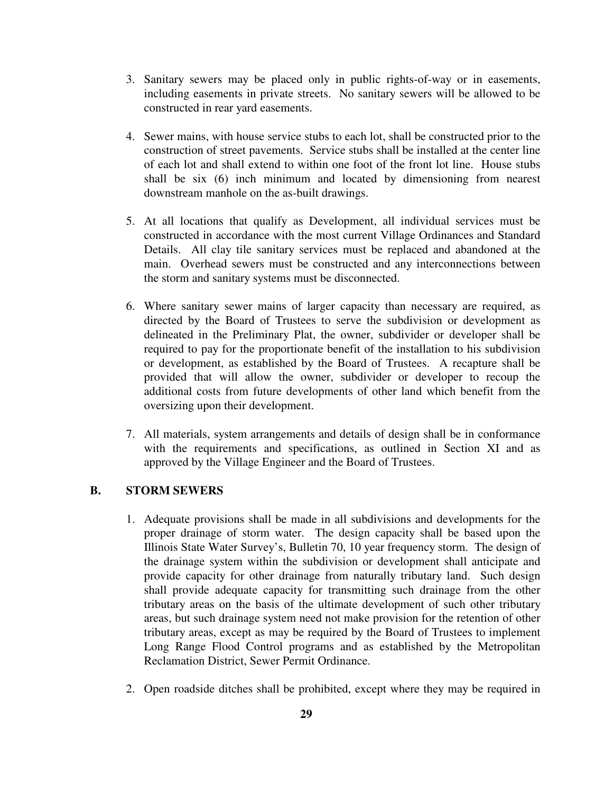- 3. Sanitary sewers may be placed only in public rights-of-way or in easements, including easements in private streets. No sanitary sewers will be allowed to be constructed in rear yard easements.
- 4. Sewer mains, with house service stubs to each lot, shall be constructed prior to the construction of street pavements. Service stubs shall be installed at the center line of each lot and shall extend to within one foot of the front lot line. House stubs shall be six (6) inch minimum and located by dimensioning from nearest downstream manhole on the as-built drawings.
- 5. At all locations that qualify as Development, all individual services must be constructed in accordance with the most current Village Ordinances and Standard Details. All clay tile sanitary services must be replaced and abandoned at the main. Overhead sewers must be constructed and any interconnections between the storm and sanitary systems must be disconnected.
- 6. Where sanitary sewer mains of larger capacity than necessary are required, as directed by the Board of Trustees to serve the subdivision or development as delineated in the Preliminary Plat, the owner, subdivider or developer shall be required to pay for the proportionate benefit of the installation to his subdivision or development, as established by the Board of Trustees. A recapture shall be provided that will allow the owner, subdivider or developer to recoup the additional costs from future developments of other land which benefit from the oversizing upon their development.
- 7. All materials, system arrangements and details of design shall be in conformance with the requirements and specifications, as outlined in Section XI and as approved by the Village Engineer and the Board of Trustees.

### **B. STORM SEWERS**

- 1. Adequate provisions shall be made in all subdivisions and developments for the proper drainage of storm water. The design capacity shall be based upon the Illinois State Water Survey's, Bulletin 70, 10 year frequency storm. The design of the drainage system within the subdivision or development shall anticipate and provide capacity for other drainage from naturally tributary land. Such design shall provide adequate capacity for transmitting such drainage from the other tributary areas on the basis of the ultimate development of such other tributary areas, but such drainage system need not make provision for the retention of other tributary areas, except as may be required by the Board of Trustees to implement Long Range Flood Control programs and as established by the Metropolitan Reclamation District, Sewer Permit Ordinance.
- 2. Open roadside ditches shall be prohibited, except where they may be required in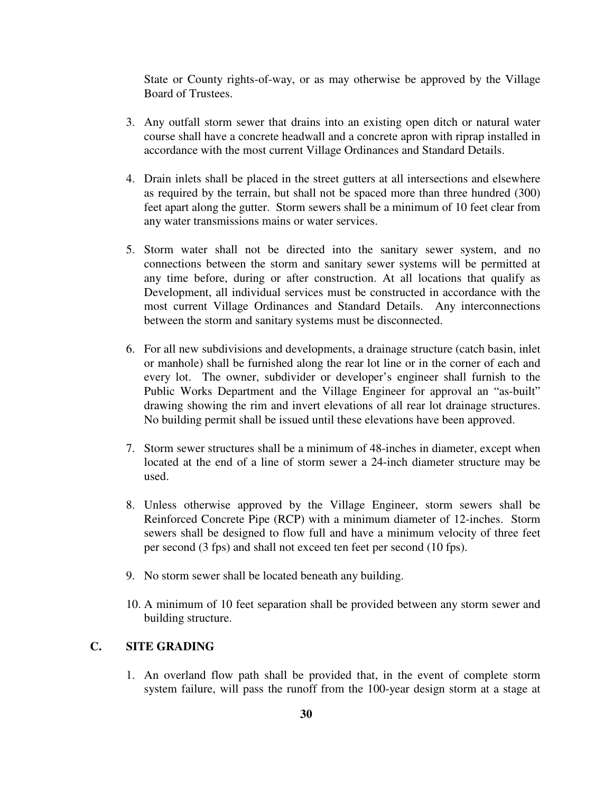State or County rights-of-way, or as may otherwise be approved by the Village Board of Trustees.

- 3. Any outfall storm sewer that drains into an existing open ditch or natural water course shall have a concrete headwall and a concrete apron with riprap installed in accordance with the most current Village Ordinances and Standard Details.
- 4. Drain inlets shall be placed in the street gutters at all intersections and elsewhere as required by the terrain, but shall not be spaced more than three hundred (300) feet apart along the gutter. Storm sewers shall be a minimum of 10 feet clear from any water transmissions mains or water services.
- 5. Storm water shall not be directed into the sanitary sewer system, and no connections between the storm and sanitary sewer systems will be permitted at any time before, during or after construction. At all locations that qualify as Development, all individual services must be constructed in accordance with the most current Village Ordinances and Standard Details. Any interconnections between the storm and sanitary systems must be disconnected.
- 6. For all new subdivisions and developments, a drainage structure (catch basin, inlet or manhole) shall be furnished along the rear lot line or in the corner of each and every lot. The owner, subdivider or developer's engineer shall furnish to the Public Works Department and the Village Engineer for approval an "as-built" drawing showing the rim and invert elevations of all rear lot drainage structures. No building permit shall be issued until these elevations have been approved.
- 7. Storm sewer structures shall be a minimum of 48-inches in diameter, except when located at the end of a line of storm sewer a 24-inch diameter structure may be used.
- 8. Unless otherwise approved by the Village Engineer, storm sewers shall be Reinforced Concrete Pipe (RCP) with a minimum diameter of 12-inches. Storm sewers shall be designed to flow full and have a minimum velocity of three feet per second (3 fps) and shall not exceed ten feet per second (10 fps).
- 9. No storm sewer shall be located beneath any building.
- 10. A minimum of 10 feet separation shall be provided between any storm sewer and building structure.

# **C. SITE GRADING**

1. An overland flow path shall be provided that, in the event of complete storm system failure, will pass the runoff from the 100-year design storm at a stage at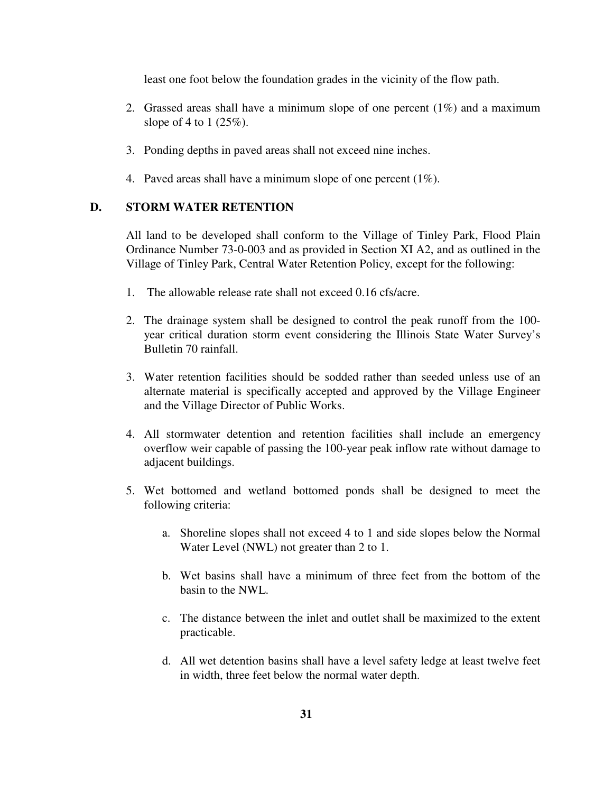least one foot below the foundation grades in the vicinity of the flow path.

- 2. Grassed areas shall have a minimum slope of one percent  $(1\%)$  and a maximum slope of 4 to 1 (25%).
- 3. Ponding depths in paved areas shall not exceed nine inches.
- 4. Paved areas shall have a minimum slope of one percent (1%).

#### **D. STORM WATER RETENTION**

All land to be developed shall conform to the Village of Tinley Park, Flood Plain Ordinance Number 73-0-003 and as provided in Section XI A2, and as outlined in the Village of Tinley Park, Central Water Retention Policy, except for the following:

- 1. The allowable release rate shall not exceed 0.16 cfs/acre.
- 2. The drainage system shall be designed to control the peak runoff from the 100 year critical duration storm event considering the Illinois State Water Survey's Bulletin 70 rainfall.
- 3. Water retention facilities should be sodded rather than seeded unless use of an alternate material is specifically accepted and approved by the Village Engineer and the Village Director of Public Works.
- 4. All stormwater detention and retention facilities shall include an emergency overflow weir capable of passing the 100-year peak inflow rate without damage to adjacent buildings.
- 5. Wet bottomed and wetland bottomed ponds shall be designed to meet the following criteria:
	- a. Shoreline slopes shall not exceed 4 to 1 and side slopes below the Normal Water Level (NWL) not greater than 2 to 1.
	- b. Wet basins shall have a minimum of three feet from the bottom of the basin to the NWL.
	- c. The distance between the inlet and outlet shall be maximized to the extent practicable.
	- d. All wet detention basins shall have a level safety ledge at least twelve feet in width, three feet below the normal water depth.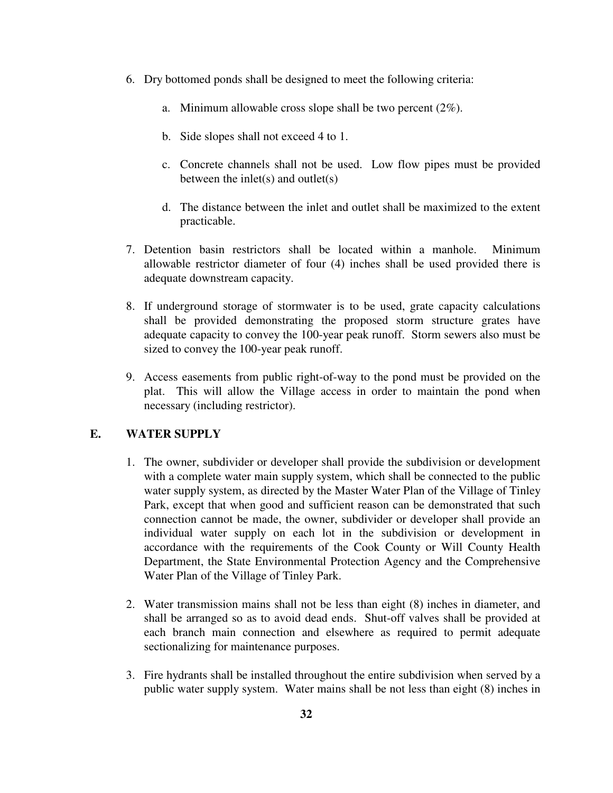- 6. Dry bottomed ponds shall be designed to meet the following criteria:
	- a. Minimum allowable cross slope shall be two percent (2%).
	- b. Side slopes shall not exceed 4 to 1.
	- c. Concrete channels shall not be used. Low flow pipes must be provided between the inlet(s) and outlet $(s)$
	- d. The distance between the inlet and outlet shall be maximized to the extent practicable.
- 7. Detention basin restrictors shall be located within a manhole. Minimum allowable restrictor diameter of four (4) inches shall be used provided there is adequate downstream capacity.
- 8. If underground storage of stormwater is to be used, grate capacity calculations shall be provided demonstrating the proposed storm structure grates have adequate capacity to convey the 100-year peak runoff. Storm sewers also must be sized to convey the 100-year peak runoff.
- 9. Access easements from public right-of-way to the pond must be provided on the plat. This will allow the Village access in order to maintain the pond when necessary (including restrictor).

# **E. WATER SUPPLY**

- 1. The owner, subdivider or developer shall provide the subdivision or development with a complete water main supply system, which shall be connected to the public water supply system, as directed by the Master Water Plan of the Village of Tinley Park, except that when good and sufficient reason can be demonstrated that such connection cannot be made, the owner, subdivider or developer shall provide an individual water supply on each lot in the subdivision or development in accordance with the requirements of the Cook County or Will County Health Department, the State Environmental Protection Agency and the Comprehensive Water Plan of the Village of Tinley Park.
- 2. Water transmission mains shall not be less than eight (8) inches in diameter, and shall be arranged so as to avoid dead ends. Shut-off valves shall be provided at each branch main connection and elsewhere as required to permit adequate sectionalizing for maintenance purposes.
- 3. Fire hydrants shall be installed throughout the entire subdivision when served by a public water supply system. Water mains shall be not less than eight (8) inches in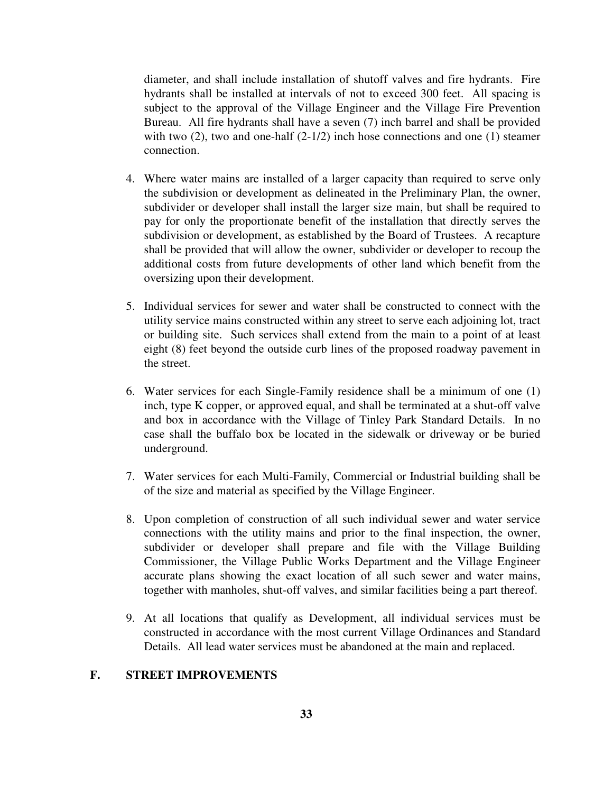diameter, and shall include installation of shutoff valves and fire hydrants. Fire hydrants shall be installed at intervals of not to exceed 300 feet. All spacing is subject to the approval of the Village Engineer and the Village Fire Prevention Bureau. All fire hydrants shall have a seven (7) inch barrel and shall be provided with two  $(2)$ , two and one-half  $(2-1/2)$  inch hose connections and one  $(1)$  steamer connection.

- 4. Where water mains are installed of a larger capacity than required to serve only the subdivision or development as delineated in the Preliminary Plan, the owner, subdivider or developer shall install the larger size main, but shall be required to pay for only the proportionate benefit of the installation that directly serves the subdivision or development, as established by the Board of Trustees. A recapture shall be provided that will allow the owner, subdivider or developer to recoup the additional costs from future developments of other land which benefit from the oversizing upon their development.
- 5. Individual services for sewer and water shall be constructed to connect with the utility service mains constructed within any street to serve each adjoining lot, tract or building site. Such services shall extend from the main to a point of at least eight (8) feet beyond the outside curb lines of the proposed roadway pavement in the street.
- 6. Water services for each Single-Family residence shall be a minimum of one (1) inch, type K copper, or approved equal, and shall be terminated at a shut-off valve and box in accordance with the Village of Tinley Park Standard Details. In no case shall the buffalo box be located in the sidewalk or driveway or be buried underground.
- 7. Water services for each Multi-Family, Commercial or Industrial building shall be of the size and material as specified by the Village Engineer.
- 8. Upon completion of construction of all such individual sewer and water service connections with the utility mains and prior to the final inspection, the owner, subdivider or developer shall prepare and file with the Village Building Commissioner, the Village Public Works Department and the Village Engineer accurate plans showing the exact location of all such sewer and water mains, together with manholes, shut-off valves, and similar facilities being a part thereof.
- 9. At all locations that qualify as Development, all individual services must be constructed in accordance with the most current Village Ordinances and Standard Details. All lead water services must be abandoned at the main and replaced.

#### **F. STREET IMPROVEMENTS**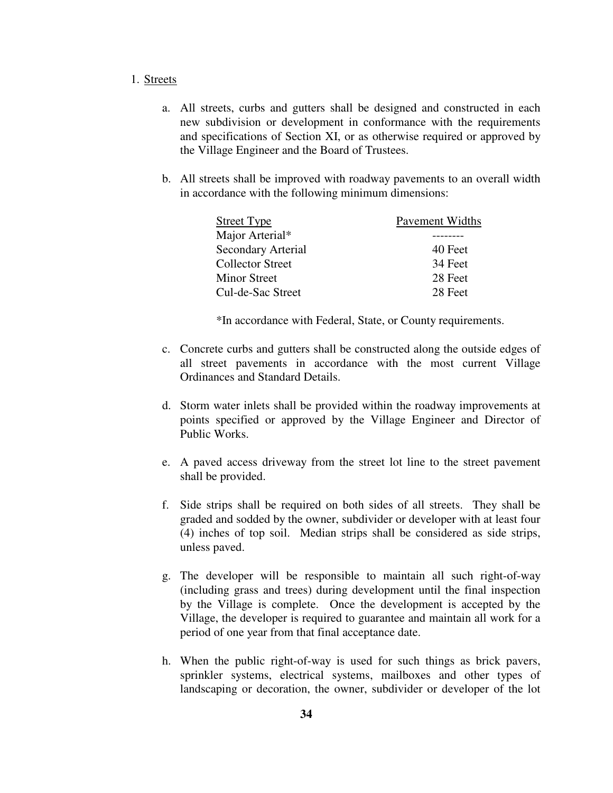#### 1. Streets

- a. All streets, curbs and gutters shall be designed and constructed in each new subdivision or development in conformance with the requirements and specifications of Section XI, or as otherwise required or approved by the Village Engineer and the Board of Trustees.
- b. All streets shall be improved with roadway pavements to an overall width in accordance with the following minimum dimensions:

| <b>Street Type</b>      | <b>Pavement Widths</b> |
|-------------------------|------------------------|
| Major Arterial*         |                        |
| Secondary Arterial      | 40 Feet                |
| <b>Collector Street</b> | 34 Feet                |
| Minor Street            | 28 Feet                |
| Cul-de-Sac Street       | 28 Feet                |

\*In accordance with Federal, State, or County requirements.

- c. Concrete curbs and gutters shall be constructed along the outside edges of all street pavements in accordance with the most current Village Ordinances and Standard Details.
- d. Storm water inlets shall be provided within the roadway improvements at points specified or approved by the Village Engineer and Director of Public Works.
- e. A paved access driveway from the street lot line to the street pavement shall be provided.
- f. Side strips shall be required on both sides of all streets. They shall be graded and sodded by the owner, subdivider or developer with at least four (4) inches of top soil. Median strips shall be considered as side strips, unless paved.
- g. The developer will be responsible to maintain all such right-of-way (including grass and trees) during development until the final inspection by the Village is complete. Once the development is accepted by the Village, the developer is required to guarantee and maintain all work for a period of one year from that final acceptance date.
- h. When the public right-of-way is used for such things as brick pavers, sprinkler systems, electrical systems, mailboxes and other types of landscaping or decoration, the owner, subdivider or developer of the lot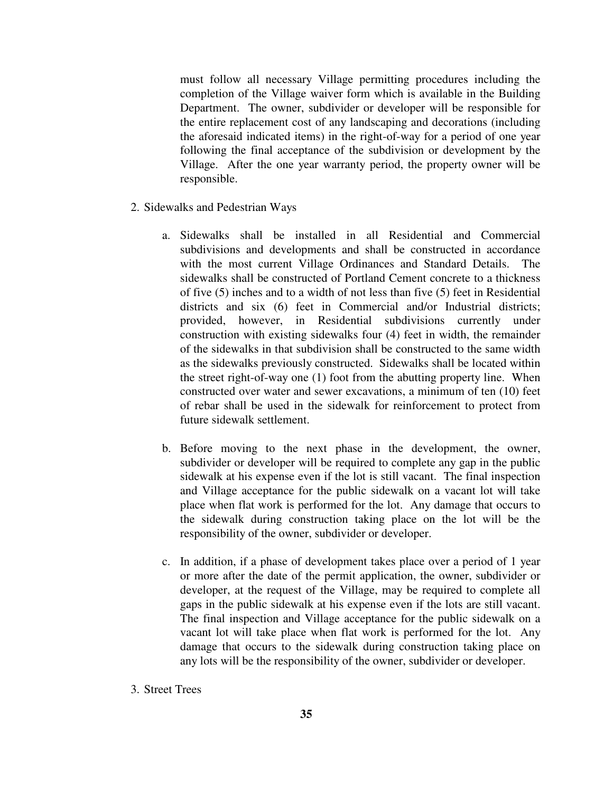must follow all necessary Village permitting procedures including the completion of the Village waiver form which is available in the Building Department. The owner, subdivider or developer will be responsible for the entire replacement cost of any landscaping and decorations (including the aforesaid indicated items) in the right-of-way for a period of one year following the final acceptance of the subdivision or development by the Village. After the one year warranty period, the property owner will be responsible.

- 2. Sidewalks and Pedestrian Ways
	- a. Sidewalks shall be installed in all Residential and Commercial subdivisions and developments and shall be constructed in accordance with the most current Village Ordinances and Standard Details. The sidewalks shall be constructed of Portland Cement concrete to a thickness of five (5) inches and to a width of not less than five (5) feet in Residential districts and six (6) feet in Commercial and/or Industrial districts; provided, however, in Residential subdivisions currently under construction with existing sidewalks four (4) feet in width, the remainder of the sidewalks in that subdivision shall be constructed to the same width as the sidewalks previously constructed. Sidewalks shall be located within the street right-of-way one (1) foot from the abutting property line. When constructed over water and sewer excavations, a minimum of ten (10) feet of rebar shall be used in the sidewalk for reinforcement to protect from future sidewalk settlement.
	- b. Before moving to the next phase in the development, the owner, subdivider or developer will be required to complete any gap in the public sidewalk at his expense even if the lot is still vacant. The final inspection and Village acceptance for the public sidewalk on a vacant lot will take place when flat work is performed for the lot. Any damage that occurs to the sidewalk during construction taking place on the lot will be the responsibility of the owner, subdivider or developer.
	- c. In addition, if a phase of development takes place over a period of 1 year or more after the date of the permit application, the owner, subdivider or developer, at the request of the Village, may be required to complete all gaps in the public sidewalk at his expense even if the lots are still vacant. The final inspection and Village acceptance for the public sidewalk on a vacant lot will take place when flat work is performed for the lot. Any damage that occurs to the sidewalk during construction taking place on any lots will be the responsibility of the owner, subdivider or developer.
- 3. Street Trees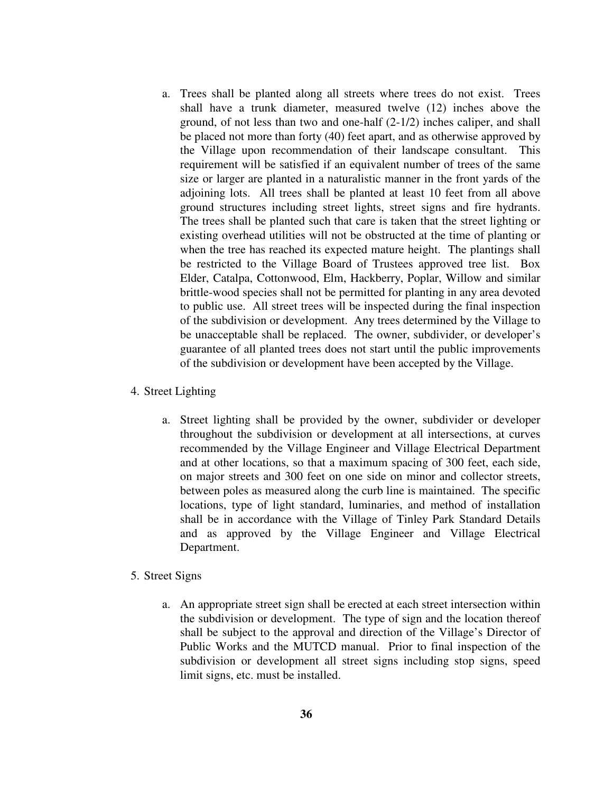- a. Trees shall be planted along all streets where trees do not exist. Trees shall have a trunk diameter, measured twelve (12) inches above the ground, of not less than two and one-half (2-1/2) inches caliper, and shall be placed not more than forty (40) feet apart, and as otherwise approved by the Village upon recommendation of their landscape consultant. This requirement will be satisfied if an equivalent number of trees of the same size or larger are planted in a naturalistic manner in the front yards of the adjoining lots. All trees shall be planted at least 10 feet from all above ground structures including street lights, street signs and fire hydrants. The trees shall be planted such that care is taken that the street lighting or existing overhead utilities will not be obstructed at the time of planting or when the tree has reached its expected mature height. The plantings shall be restricted to the Village Board of Trustees approved tree list. Box Elder, Catalpa, Cottonwood, Elm, Hackberry, Poplar, Willow and similar brittle-wood species shall not be permitted for planting in any area devoted to public use. All street trees will be inspected during the final inspection of the subdivision or development. Any trees determined by the Village to be unacceptable shall be replaced. The owner, subdivider, or developer's guarantee of all planted trees does not start until the public improvements of the subdivision or development have been accepted by the Village.
- 4. Street Lighting
	- a. Street lighting shall be provided by the owner, subdivider or developer throughout the subdivision or development at all intersections, at curves recommended by the Village Engineer and Village Electrical Department and at other locations, so that a maximum spacing of 300 feet, each side, on major streets and 300 feet on one side on minor and collector streets, between poles as measured along the curb line is maintained. The specific locations, type of light standard, luminaries, and method of installation shall be in accordance with the Village of Tinley Park Standard Details and as approved by the Village Engineer and Village Electrical Department.

#### 5. Street Signs

a. An appropriate street sign shall be erected at each street intersection within the subdivision or development. The type of sign and the location thereof shall be subject to the approval and direction of the Village's Director of Public Works and the MUTCD manual. Prior to final inspection of the subdivision or development all street signs including stop signs, speed limit signs, etc. must be installed.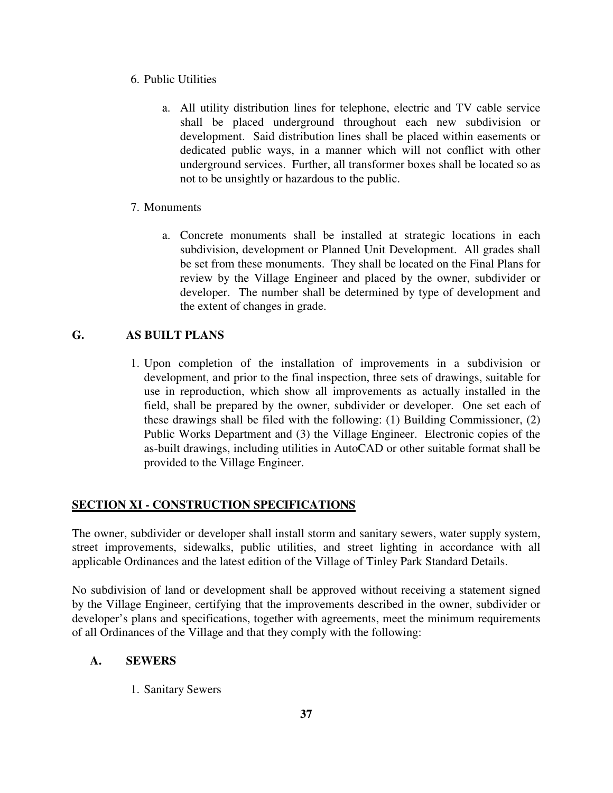- 6. Public Utilities
	- a. All utility distribution lines for telephone, electric and TV cable service shall be placed underground throughout each new subdivision or development. Said distribution lines shall be placed within easements or dedicated public ways, in a manner which will not conflict with other underground services. Further, all transformer boxes shall be located so as not to be unsightly or hazardous to the public.

### 7. Monuments

a. Concrete monuments shall be installed at strategic locations in each subdivision, development or Planned Unit Development. All grades shall be set from these monuments. They shall be located on the Final Plans for review by the Village Engineer and placed by the owner, subdivider or developer. The number shall be determined by type of development and the extent of changes in grade.

### **G. AS BUILT PLANS**

1. Upon completion of the installation of improvements in a subdivision or development, and prior to the final inspection, three sets of drawings, suitable for use in reproduction, which show all improvements as actually installed in the field, shall be prepared by the owner, subdivider or developer. One set each of these drawings shall be filed with the following: (1) Building Commissioner, (2) Public Works Department and (3) the Village Engineer. Electronic copies of the as-built drawings, including utilities in AutoCAD or other suitable format shall be provided to the Village Engineer.

# **SECTION XI - CONSTRUCTION SPECIFICATIONS**

The owner, subdivider or developer shall install storm and sanitary sewers, water supply system, street improvements, sidewalks, public utilities, and street lighting in accordance with all applicable Ordinances and the latest edition of the Village of Tinley Park Standard Details.

No subdivision of land or development shall be approved without receiving a statement signed by the Village Engineer, certifying that the improvements described in the owner, subdivider or developer's plans and specifications, together with agreements, meet the minimum requirements of all Ordinances of the Village and that they comply with the following:

### **A. SEWERS**

1. Sanitary Sewers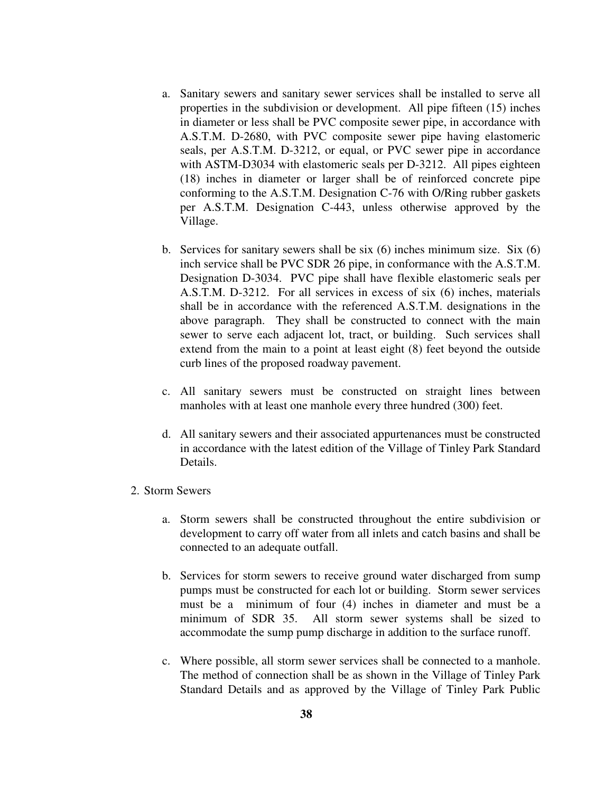- a. Sanitary sewers and sanitary sewer services shall be installed to serve all properties in the subdivision or development. All pipe fifteen (15) inches in diameter or less shall be PVC composite sewer pipe, in accordance with A.S.T.M. D-2680, with PVC composite sewer pipe having elastomeric seals, per A.S.T.M. D-3212, or equal, or PVC sewer pipe in accordance with ASTM-D3034 with elastomeric seals per D-3212. All pipes eighteen (18) inches in diameter or larger shall be of reinforced concrete pipe conforming to the A.S.T.M. Designation C-76 with O/Ring rubber gaskets per A.S.T.M. Designation C-443, unless otherwise approved by the Village.
- b. Services for sanitary sewers shall be six (6) inches minimum size. Six (6) inch service shall be PVC SDR 26 pipe, in conformance with the A.S.T.M. Designation D-3034. PVC pipe shall have flexible elastomeric seals per A.S.T.M. D-3212. For all services in excess of six (6) inches, materials shall be in accordance with the referenced A.S.T.M. designations in the above paragraph. They shall be constructed to connect with the main sewer to serve each adjacent lot, tract, or building. Such services shall extend from the main to a point at least eight (8) feet beyond the outside curb lines of the proposed roadway pavement.
- c. All sanitary sewers must be constructed on straight lines between manholes with at least one manhole every three hundred (300) feet.
- d. All sanitary sewers and their associated appurtenances must be constructed in accordance with the latest edition of the Village of Tinley Park Standard Details.

### 2. Storm Sewers

- a. Storm sewers shall be constructed throughout the entire subdivision or development to carry off water from all inlets and catch basins and shall be connected to an adequate outfall.
- b. Services for storm sewers to receive ground water discharged from sump pumps must be constructed for each lot or building. Storm sewer services must be a minimum of four (4) inches in diameter and must be a minimum of SDR 35. All storm sewer systems shall be sized to accommodate the sump pump discharge in addition to the surface runoff.
- c. Where possible, all storm sewer services shall be connected to a manhole. The method of connection shall be as shown in the Village of Tinley Park Standard Details and as approved by the Village of Tinley Park Public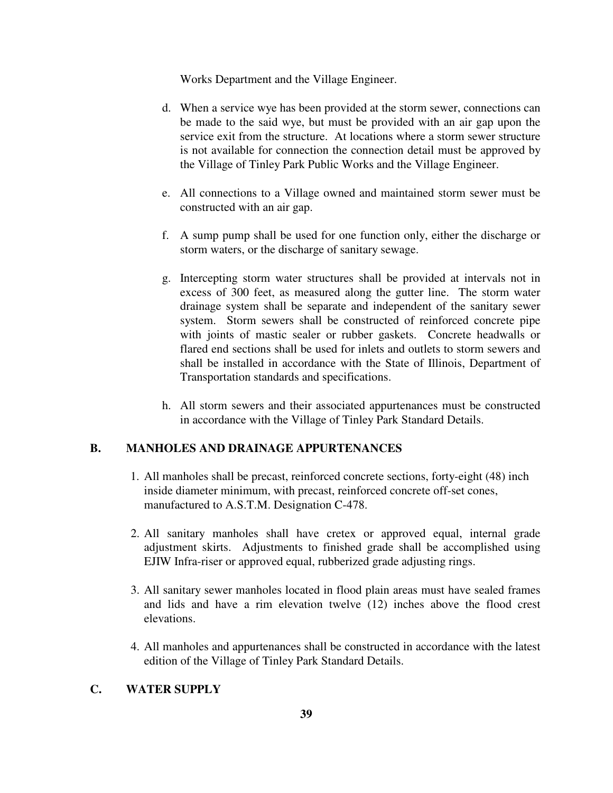Works Department and the Village Engineer.

- d. When a service wye has been provided at the storm sewer, connections can be made to the said wye, but must be provided with an air gap upon the service exit from the structure. At locations where a storm sewer structure is not available for connection the connection detail must be approved by the Village of Tinley Park Public Works and the Village Engineer.
- e. All connections to a Village owned and maintained storm sewer must be constructed with an air gap.
- f. A sump pump shall be used for one function only, either the discharge or storm waters, or the discharge of sanitary sewage.
- g. Intercepting storm water structures shall be provided at intervals not in excess of 300 feet, as measured along the gutter line. The storm water drainage system shall be separate and independent of the sanitary sewer system. Storm sewers shall be constructed of reinforced concrete pipe with joints of mastic sealer or rubber gaskets. Concrete headwalls or flared end sections shall be used for inlets and outlets to storm sewers and shall be installed in accordance with the State of Illinois, Department of Transportation standards and specifications.
- h. All storm sewers and their associated appurtenances must be constructed in accordance with the Village of Tinley Park Standard Details.

### **B. MANHOLES AND DRAINAGE APPURTENANCES**

- 1. All manholes shall be precast, reinforced concrete sections, forty-eight (48) inch inside diameter minimum, with precast, reinforced concrete off-set cones, manufactured to A.S.T.M. Designation C-478.
- 2. All sanitary manholes shall have cretex or approved equal, internal grade adjustment skirts. Adjustments to finished grade shall be accomplished using EJIW Infra-riser or approved equal, rubberized grade adjusting rings.
- 3. All sanitary sewer manholes located in flood plain areas must have sealed frames and lids and have a rim elevation twelve (12) inches above the flood crest elevations.
- 4. All manholes and appurtenances shall be constructed in accordance with the latest edition of the Village of Tinley Park Standard Details.

### **C. WATER SUPPLY**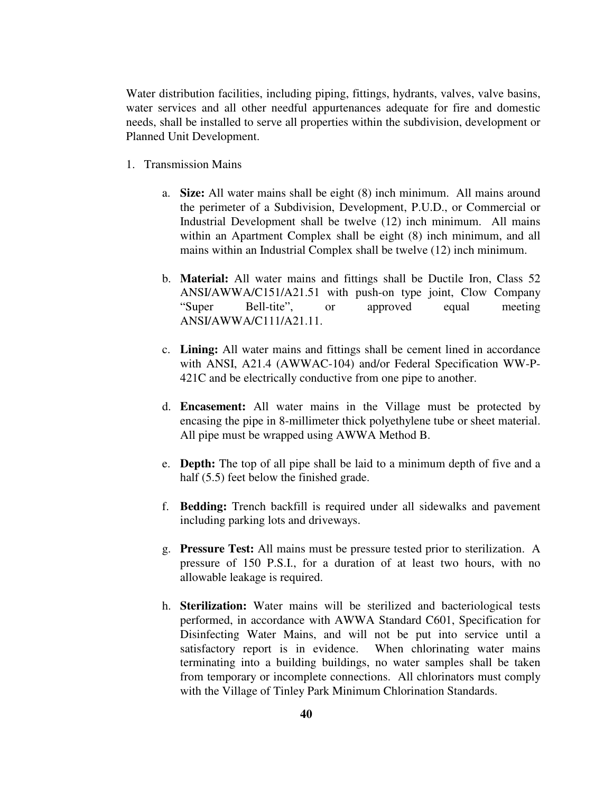Water distribution facilities, including piping, fittings, hydrants, valves, valve basins, water services and all other needful appurtenances adequate for fire and domestic needs, shall be installed to serve all properties within the subdivision, development or Planned Unit Development.

- 1. Transmission Mains
	- a. **Size:** All water mains shall be eight (8) inch minimum. All mains around the perimeter of a Subdivision, Development, P.U.D., or Commercial or Industrial Development shall be twelve (12) inch minimum. All mains within an Apartment Complex shall be eight (8) inch minimum, and all mains within an Industrial Complex shall be twelve (12) inch minimum.
	- b. **Material:** All water mains and fittings shall be Ductile Iron, Class 52 ANSI/AWWA/C151/A21.51 with push-on type joint, Clow Company "Super Bell-tite", or approved equal meeting ANSI/AWWA/C111/A21.11.
	- c. **Lining:** All water mains and fittings shall be cement lined in accordance with ANSI, A21.4 (AWWAC-104) and/or Federal Specification WW-P-421C and be electrically conductive from one pipe to another.
	- d. **Encasement:** All water mains in the Village must be protected by encasing the pipe in 8-millimeter thick polyethylene tube or sheet material. All pipe must be wrapped using AWWA Method B.
	- e. **Depth:** The top of all pipe shall be laid to a minimum depth of five and a half (5.5) feet below the finished grade.
	- f. **Bedding:** Trench backfill is required under all sidewalks and pavement including parking lots and driveways.
	- g. **Pressure Test:** All mains must be pressure tested prior to sterilization. A pressure of 150 P.S.I., for a duration of at least two hours, with no allowable leakage is required.
	- h. **Sterilization:** Water mains will be sterilized and bacteriological tests performed, in accordance with AWWA Standard C601, Specification for Disinfecting Water Mains, and will not be put into service until a satisfactory report is in evidence. When chlorinating water mains terminating into a building buildings, no water samples shall be taken from temporary or incomplete connections. All chlorinators must comply with the Village of Tinley Park Minimum Chlorination Standards.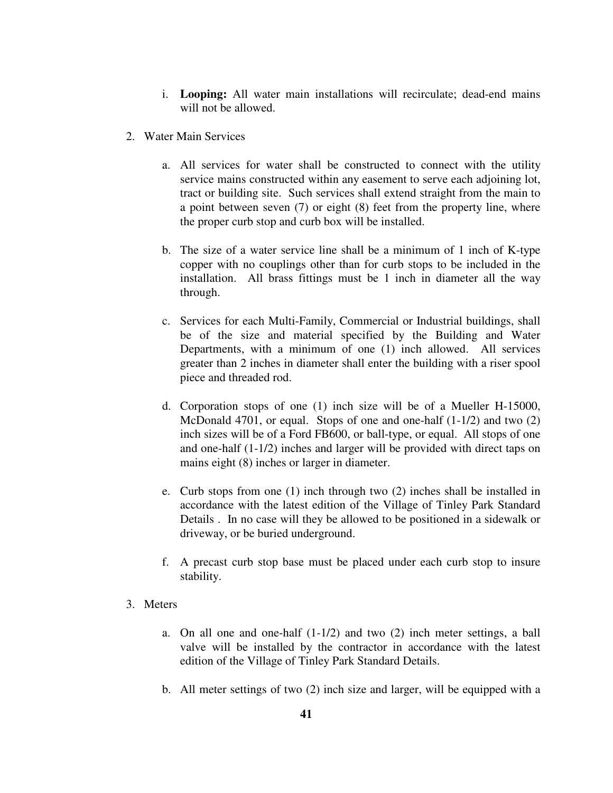- i. **Looping:** All water main installations will recirculate; dead-end mains will not be allowed.
- 2. Water Main Services
	- a. All services for water shall be constructed to connect with the utility service mains constructed within any easement to serve each adjoining lot, tract or building site. Such services shall extend straight from the main to a point between seven (7) or eight (8) feet from the property line, where the proper curb stop and curb box will be installed.
	- b. The size of a water service line shall be a minimum of 1 inch of K-type copper with no couplings other than for curb stops to be included in the installation. All brass fittings must be 1 inch in diameter all the way through.
	- c. Services for each Multi-Family, Commercial or Industrial buildings, shall be of the size and material specified by the Building and Water Departments, with a minimum of one (1) inch allowed. All services greater than 2 inches in diameter shall enter the building with a riser spool piece and threaded rod.
	- d. Corporation stops of one (1) inch size will be of a Mueller H-15000, McDonald 4701, or equal. Stops of one and one-half (1-1/2) and two (2) inch sizes will be of a Ford FB600, or ball-type, or equal. All stops of one and one-half (1-1/2) inches and larger will be provided with direct taps on mains eight (8) inches or larger in diameter.
	- e. Curb stops from one (1) inch through two (2) inches shall be installed in accordance with the latest edition of the Village of Tinley Park Standard Details . In no case will they be allowed to be positioned in a sidewalk or driveway, or be buried underground.
	- f. A precast curb stop base must be placed under each curb stop to insure stability.
- 3. Meters
	- a. On all one and one-half (1-1/2) and two (2) inch meter settings, a ball valve will be installed by the contractor in accordance with the latest edition of the Village of Tinley Park Standard Details.
	- b. All meter settings of two (2) inch size and larger, will be equipped with a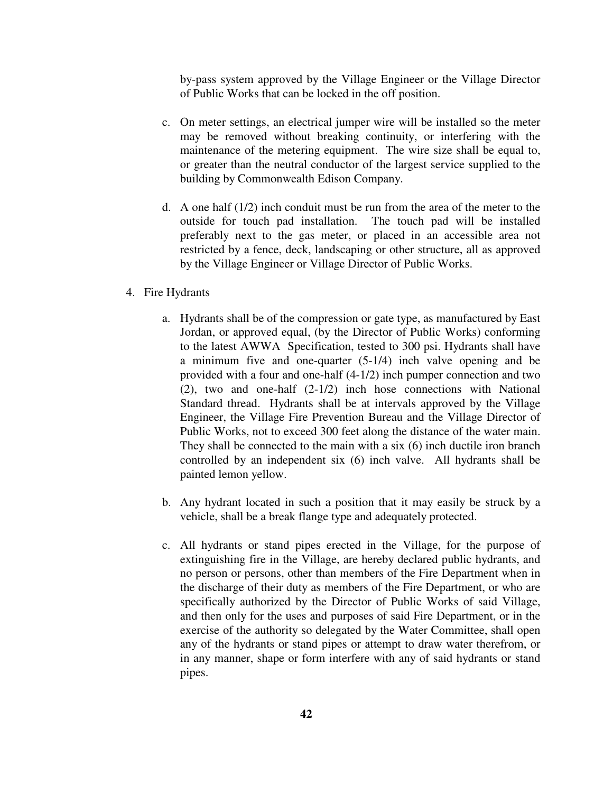by-pass system approved by the Village Engineer or the Village Director of Public Works that can be locked in the off position.

- c. On meter settings, an electrical jumper wire will be installed so the meter may be removed without breaking continuity, or interfering with the maintenance of the metering equipment. The wire size shall be equal to, or greater than the neutral conductor of the largest service supplied to the building by Commonwealth Edison Company.
- d. A one half  $(1/2)$  inch conduit must be run from the area of the meter to the outside for touch pad installation. The touch pad will be installed preferably next to the gas meter, or placed in an accessible area not restricted by a fence, deck, landscaping or other structure, all as approved by the Village Engineer or Village Director of Public Works.
- 4. Fire Hydrants
	- a. Hydrants shall be of the compression or gate type, as manufactured by East Jordan, or approved equal, (by the Director of Public Works) conforming to the latest AWWA Specification, tested to 300 psi. Hydrants shall have a minimum five and one-quarter (5-1/4) inch valve opening and be provided with a four and one-half (4-1/2) inch pumper connection and two (2), two and one-half (2-1/2) inch hose connections with National Standard thread. Hydrants shall be at intervals approved by the Village Engineer, the Village Fire Prevention Bureau and the Village Director of Public Works, not to exceed 300 feet along the distance of the water main. They shall be connected to the main with a six (6) inch ductile iron branch controlled by an independent six (6) inch valve. All hydrants shall be painted lemon yellow.
	- b. Any hydrant located in such a position that it may easily be struck by a vehicle, shall be a break flange type and adequately protected.
	- c. All hydrants or stand pipes erected in the Village, for the purpose of extinguishing fire in the Village, are hereby declared public hydrants, and no person or persons, other than members of the Fire Department when in the discharge of their duty as members of the Fire Department, or who are specifically authorized by the Director of Public Works of said Village, and then only for the uses and purposes of said Fire Department, or in the exercise of the authority so delegated by the Water Committee, shall open any of the hydrants or stand pipes or attempt to draw water therefrom, or in any manner, shape or form interfere with any of said hydrants or stand pipes.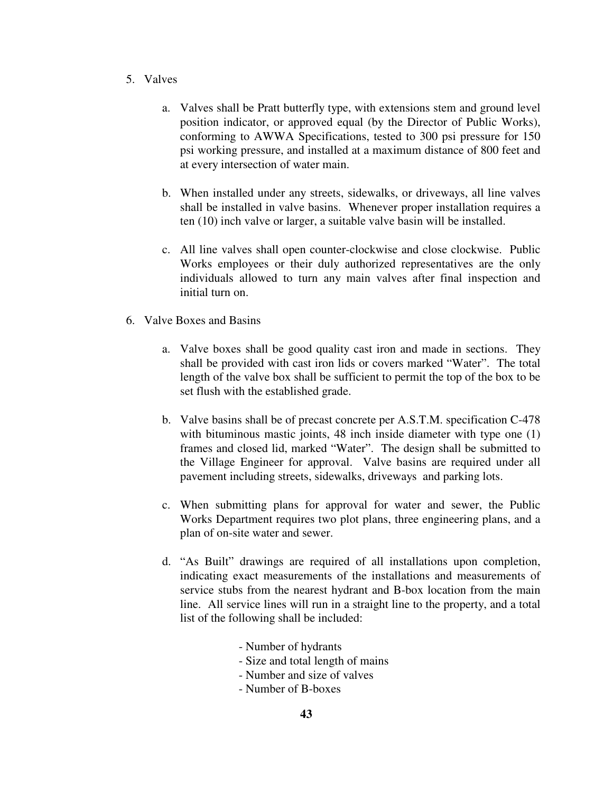- 5. Valves
	- a. Valves shall be Pratt butterfly type, with extensions stem and ground level position indicator, or approved equal (by the Director of Public Works), conforming to AWWA Specifications, tested to 300 psi pressure for 150 psi working pressure, and installed at a maximum distance of 800 feet and at every intersection of water main.
	- b. When installed under any streets, sidewalks, or driveways, all line valves shall be installed in valve basins. Whenever proper installation requires a ten (10) inch valve or larger, a suitable valve basin will be installed.
	- c. All line valves shall open counter-clockwise and close clockwise. Public Works employees or their duly authorized representatives are the only individuals allowed to turn any main valves after final inspection and initial turn on.
- 6. Valve Boxes and Basins
	- a. Valve boxes shall be good quality cast iron and made in sections. They shall be provided with cast iron lids or covers marked "Water". The total length of the valve box shall be sufficient to permit the top of the box to be set flush with the established grade.
	- b. Valve basins shall be of precast concrete per A.S.T.M. specification C-478 with bituminous mastic joints, 48 inch inside diameter with type one  $(1)$ frames and closed lid, marked "Water". The design shall be submitted to the Village Engineer for approval. Valve basins are required under all pavement including streets, sidewalks, driveways and parking lots.
	- c. When submitting plans for approval for water and sewer, the Public Works Department requires two plot plans, three engineering plans, and a plan of on-site water and sewer.
	- d. "As Built" drawings are required of all installations upon completion, indicating exact measurements of the installations and measurements of service stubs from the nearest hydrant and B-box location from the main line. All service lines will run in a straight line to the property, and a total list of the following shall be included:
		- Number of hydrants
		- Size and total length of mains
		- Number and size of valves
		- Number of B-boxes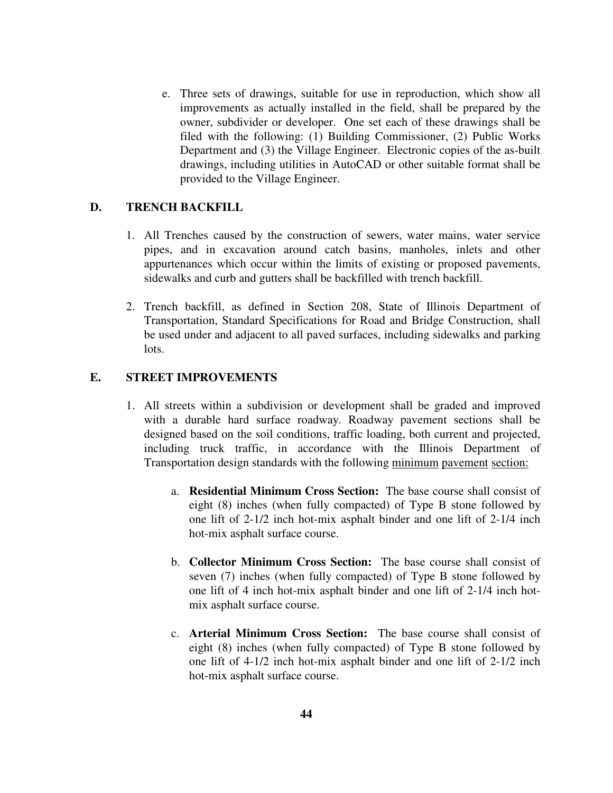e. Three sets of drawings, suitable for use in reproduction, which show all improvements as actually installed in the field, shall be prepared by the owner, subdivider or developer. One set each of these drawings shall be filed with the following: (1) Building Commissioner, (2) Public Works Department and (3) the Village Engineer. Electronic copies of the as-built drawings, including utilities in AutoCAD or other suitable format shall be provided to the Village Engineer.

### **D. TRENCH BACKFILL**

- 1. All Trenches caused by the construction of sewers, water mains, water service pipes, and in excavation around catch basins, manholes, inlets and other appurtenances which occur within the limits of existing or proposed pavements, sidewalks and curb and gutters shall be backfilled with trench backfill.
- 2. Trench backfill, as defined in Section 208, State of Illinois Department of Transportation, Standard Specifications for Road and Bridge Construction, shall be used under and adjacent to all paved surfaces, including sidewalks and parking lots.

# **E. STREET IMPROVEMENTS**

- 1. All streets within a subdivision or development shall be graded and improved with a durable hard surface roadway. Roadway pavement sections shall be designed based on the soil conditions, traffic loading, both current and projected, including truck traffic, in accordance with the Illinois Department of Transportation design standards with the following minimum pavement section:
	- a. **Residential Minimum Cross Section:** The base course shall consist of eight (8) inches (when fully compacted) of Type B stone followed by one lift of 2-1/2 inch hot-mix asphalt binder and one lift of 2-1/4 inch hot-mix asphalt surface course.
	- b. **Collector Minimum Cross Section:** The base course shall consist of seven (7) inches (when fully compacted) of Type B stone followed by one lift of 4 inch hot-mix asphalt binder and one lift of 2-1/4 inch hotmix asphalt surface course.
	- c. **Arterial Minimum Cross Section:** The base course shall consist of eight (8) inches (when fully compacted) of Type B stone followed by one lift of 4-1/2 inch hot-mix asphalt binder and one lift of 2-1/2 inch hot-mix asphalt surface course.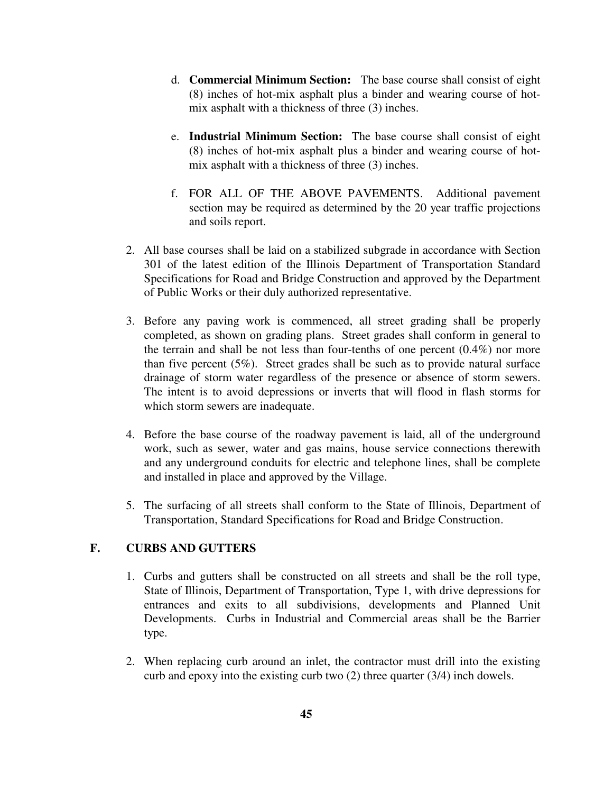- d. **Commercial Minimum Section:** The base course shall consist of eight (8) inches of hot-mix asphalt plus a binder and wearing course of hotmix asphalt with a thickness of three (3) inches.
- e. **Industrial Minimum Section:** The base course shall consist of eight (8) inches of hot-mix asphalt plus a binder and wearing course of hotmix asphalt with a thickness of three (3) inches.
- f. FOR ALL OF THE ABOVE PAVEMENTS. Additional pavement section may be required as determined by the 20 year traffic projections and soils report.
- 2. All base courses shall be laid on a stabilized subgrade in accordance with Section 301 of the latest edition of the Illinois Department of Transportation Standard Specifications for Road and Bridge Construction and approved by the Department of Public Works or their duly authorized representative.
- 3. Before any paving work is commenced, all street grading shall be properly completed, as shown on grading plans. Street grades shall conform in general to the terrain and shall be not less than four-tenths of one percent (0.4%) nor more than five percent (5%). Street grades shall be such as to provide natural surface drainage of storm water regardless of the presence or absence of storm sewers. The intent is to avoid depressions or inverts that will flood in flash storms for which storm sewers are inadequate.
- 4. Before the base course of the roadway pavement is laid, all of the underground work, such as sewer, water and gas mains, house service connections therewith and any underground conduits for electric and telephone lines, shall be complete and installed in place and approved by the Village.
- 5. The surfacing of all streets shall conform to the State of Illinois, Department of Transportation, Standard Specifications for Road and Bridge Construction.

# **F. CURBS AND GUTTERS**

- 1. Curbs and gutters shall be constructed on all streets and shall be the roll type, State of Illinois, Department of Transportation, Type 1, with drive depressions for entrances and exits to all subdivisions, developments and Planned Unit Developments. Curbs in Industrial and Commercial areas shall be the Barrier type.
- 2. When replacing curb around an inlet, the contractor must drill into the existing curb and epoxy into the existing curb two (2) three quarter (3/4) inch dowels.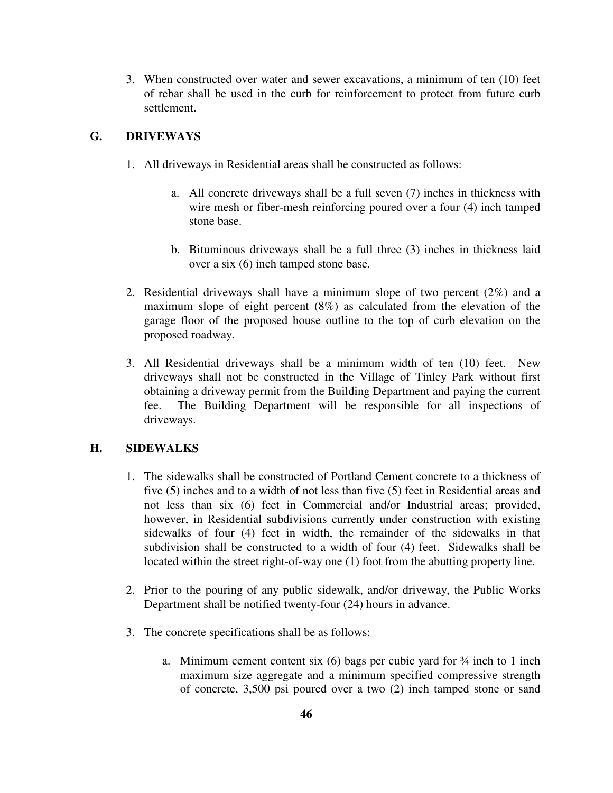3. When constructed over water and sewer excavations, a minimum of ten (10) feet of rebar shall be used in the curb for reinforcement to protect from future curb settlement.

### **G. DRIVEWAYS**

- 1. All driveways in Residential areas shall be constructed as follows:
	- a. All concrete driveways shall be a full seven (7) inches in thickness with wire mesh or fiber-mesh reinforcing poured over a four (4) inch tamped stone base.
	- b. Bituminous driveways shall be a full three (3) inches in thickness laid over a six (6) inch tamped stone base.
- 2. Residential driveways shall have a minimum slope of two percent (2%) and a maximum slope of eight percent (8%) as calculated from the elevation of the garage floor of the proposed house outline to the top of curb elevation on the proposed roadway.
- 3. All Residential driveways shall be a minimum width of ten (10) feet. New driveways shall not be constructed in the Village of Tinley Park without first obtaining a driveway permit from the Building Department and paying the current fee. The Building Department will be responsible for all inspections of driveways.

### **H. SIDEWALKS**

- 1. The sidewalks shall be constructed of Portland Cement concrete to a thickness of five (5) inches and to a width of not less than five (5) feet in Residential areas and not less than six (6) feet in Commercial and/or Industrial areas; provided, however, in Residential subdivisions currently under construction with existing sidewalks of four (4) feet in width, the remainder of the sidewalks in that subdivision shall be constructed to a width of four (4) feet. Sidewalks shall be located within the street right-of-way one (1) foot from the abutting property line.
- 2. Prior to the pouring of any public sidewalk, and/or driveway, the Public Works Department shall be notified twenty-four (24) hours in advance.
- 3. The concrete specifications shall be as follows:
	- a. Minimum cement content six  $(6)$  bags per cubic yard for  $\frac{3}{4}$  inch to 1 inch maximum size aggregate and a minimum specified compressive strength of concrete, 3,500 psi poured over a two (2) inch tamped stone or sand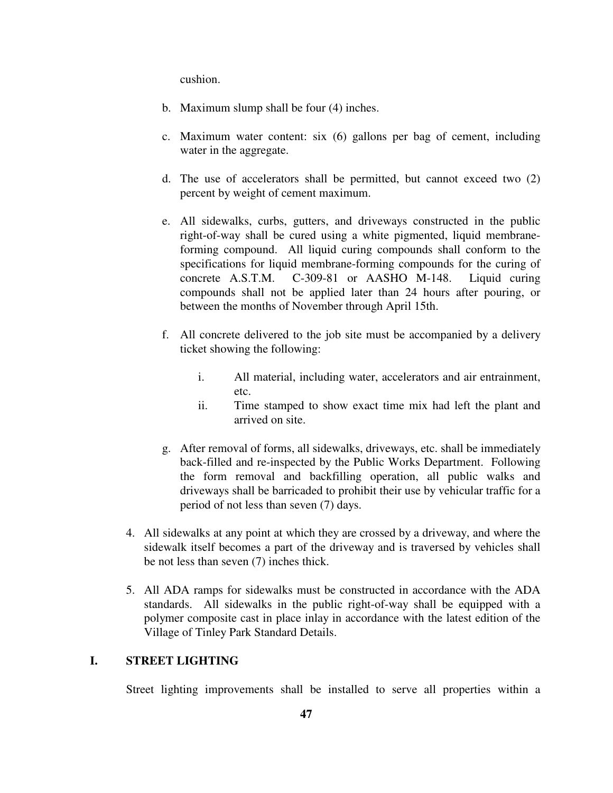cushion.

- b. Maximum slump shall be four (4) inches.
- c. Maximum water content: six (6) gallons per bag of cement, including water in the aggregate.
- d. The use of accelerators shall be permitted, but cannot exceed two (2) percent by weight of cement maximum.
- e. All sidewalks, curbs, gutters, and driveways constructed in the public right-of-way shall be cured using a white pigmented, liquid membraneforming compound. All liquid curing compounds shall conform to the specifications for liquid membrane-forming compounds for the curing of concrete A.S.T.M. C-309-81 or AASHO M-148. Liquid curing compounds shall not be applied later than 24 hours after pouring, or between the months of November through April 15th.
- f. All concrete delivered to the job site must be accompanied by a delivery ticket showing the following:
	- i. All material, including water, accelerators and air entrainment, etc.
	- ii. Time stamped to show exact time mix had left the plant and arrived on site.
- g. After removal of forms, all sidewalks, driveways, etc. shall be immediately back-filled and re-inspected by the Public Works Department. Following the form removal and backfilling operation, all public walks and driveways shall be barricaded to prohibit their use by vehicular traffic for a period of not less than seven (7) days.
- 4. All sidewalks at any point at which they are crossed by a driveway, and where the sidewalk itself becomes a part of the driveway and is traversed by vehicles shall be not less than seven (7) inches thick.
- 5. All ADA ramps for sidewalks must be constructed in accordance with the ADA standards. All sidewalks in the public right-of-way shall be equipped with a polymer composite cast in place inlay in accordance with the latest edition of the Village of Tinley Park Standard Details.

# **I. STREET LIGHTING**

Street lighting improvements shall be installed to serve all properties within a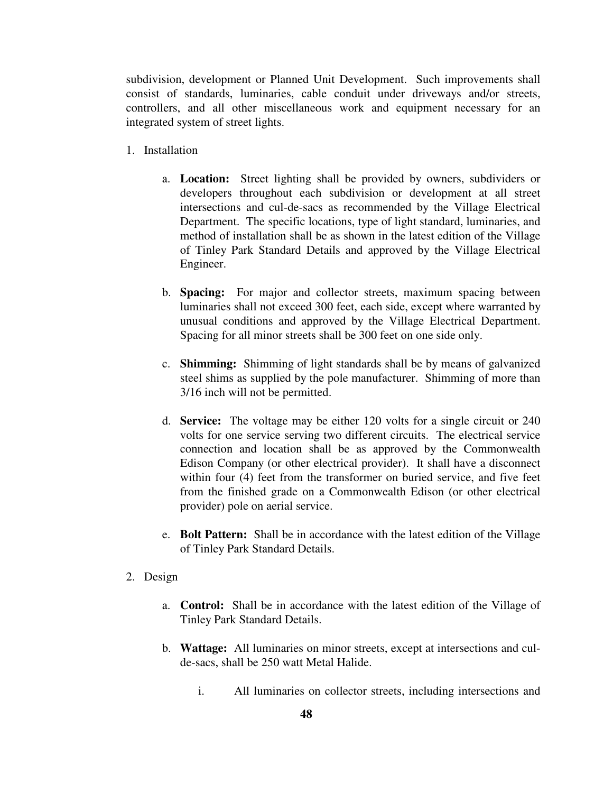subdivision, development or Planned Unit Development. Such improvements shall consist of standards, luminaries, cable conduit under driveways and/or streets, controllers, and all other miscellaneous work and equipment necessary for an integrated system of street lights.

- 1. Installation
	- a. **Location:** Street lighting shall be provided by owners, subdividers or developers throughout each subdivision or development at all street intersections and cul-de-sacs as recommended by the Village Electrical Department. The specific locations, type of light standard, luminaries, and method of installation shall be as shown in the latest edition of the Village of Tinley Park Standard Details and approved by the Village Electrical Engineer.
	- b. **Spacing:** For major and collector streets, maximum spacing between luminaries shall not exceed 300 feet, each side, except where warranted by unusual conditions and approved by the Village Electrical Department. Spacing for all minor streets shall be 300 feet on one side only.
	- c. **Shimming:** Shimming of light standards shall be by means of galvanized steel shims as supplied by the pole manufacturer. Shimming of more than 3/16 inch will not be permitted.
	- d. **Service:** The voltage may be either 120 volts for a single circuit or 240 volts for one service serving two different circuits. The electrical service connection and location shall be as approved by the Commonwealth Edison Company (or other electrical provider). It shall have a disconnect within four (4) feet from the transformer on buried service, and five feet from the finished grade on a Commonwealth Edison (or other electrical provider) pole on aerial service.
	- e. **Bolt Pattern:** Shall be in accordance with the latest edition of the Village of Tinley Park Standard Details.

### 2. Design

- a. **Control:** Shall be in accordance with the latest edition of the Village of Tinley Park Standard Details.
- b. **Wattage:** All luminaries on minor streets, except at intersections and culde-sacs, shall be 250 watt Metal Halide.
	- i. All luminaries on collector streets, including intersections and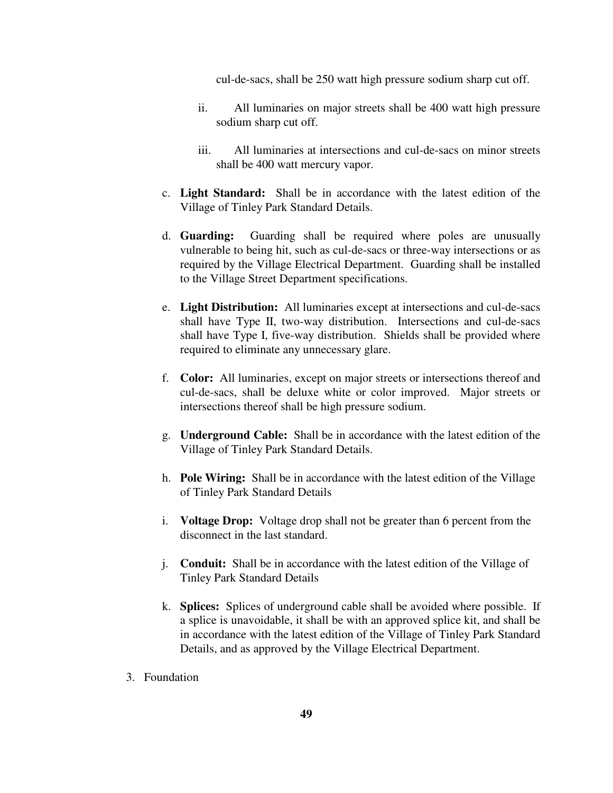cul-de-sacs, shall be 250 watt high pressure sodium sharp cut off.

- ii. All luminaries on major streets shall be 400 watt high pressure sodium sharp cut off.
- iii. All luminaries at intersections and cul-de-sacs on minor streets shall be 400 watt mercury vapor.
- c. **Light Standard:** Shall be in accordance with the latest edition of the Village of Tinley Park Standard Details.
- d. **Guarding:** Guarding shall be required where poles are unusually vulnerable to being hit, such as cul-de-sacs or three-way intersections or as required by the Village Electrical Department. Guarding shall be installed to the Village Street Department specifications.
- e. **Light Distribution:** All luminaries except at intersections and cul-de-sacs shall have Type II, two-way distribution. Intersections and cul-de-sacs shall have Type I, five-way distribution. Shields shall be provided where required to eliminate any unnecessary glare.
- f. **Color:** All luminaries, except on major streets or intersections thereof and cul-de-sacs, shall be deluxe white or color improved. Major streets or intersections thereof shall be high pressure sodium.
- g. **Underground Cable:** Shall be in accordance with the latest edition of the Village of Tinley Park Standard Details.
- h. **Pole Wiring:** Shall be in accordance with the latest edition of the Village of Tinley Park Standard Details
- i. **Voltage Drop:** Voltage drop shall not be greater than 6 percent from the disconnect in the last standard.
- j. **Conduit:** Shall be in accordance with the latest edition of the Village of Tinley Park Standard Details
- k. **Splices:** Splices of underground cable shall be avoided where possible. If a splice is unavoidable, it shall be with an approved splice kit, and shall be in accordance with the latest edition of the Village of Tinley Park Standard Details, and as approved by the Village Electrical Department.
- 3. Foundation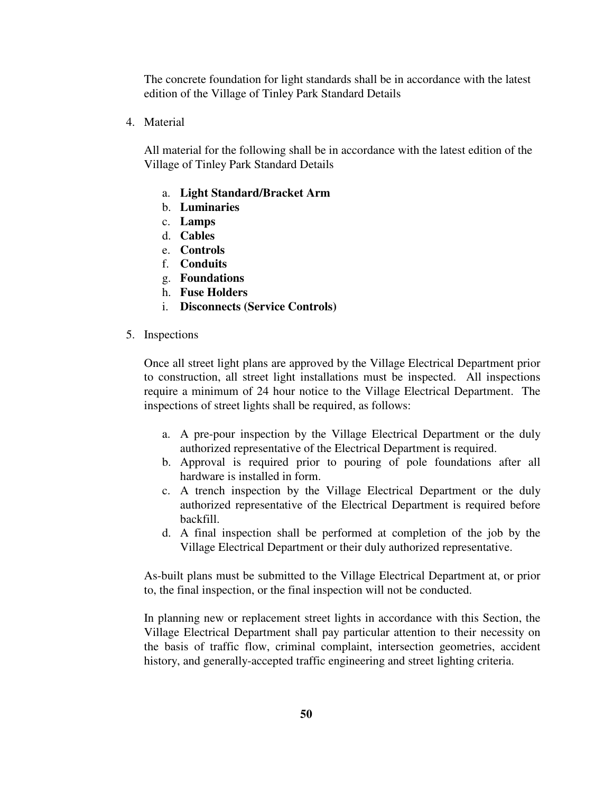The concrete foundation for light standards shall be in accordance with the latest edition of the Village of Tinley Park Standard Details

4. Material

All material for the following shall be in accordance with the latest edition of the Village of Tinley Park Standard Details

- a. **Light Standard/Bracket Arm**
- b. **Luminaries**
- c. **Lamps**
- d. **Cables**
- e. **Controls**
- f. **Conduits**
- g. **Foundations**
- h. **Fuse Holders**
- i. **Disconnects (Service Controls)**
- 5. Inspections

Once all street light plans are approved by the Village Electrical Department prior to construction, all street light installations must be inspected. All inspections require a minimum of 24 hour notice to the Village Electrical Department. The inspections of street lights shall be required, as follows:

- a. A pre-pour inspection by the Village Electrical Department or the duly authorized representative of the Electrical Department is required.
- b. Approval is required prior to pouring of pole foundations after all hardware is installed in form.
- c. A trench inspection by the Village Electrical Department or the duly authorized representative of the Electrical Department is required before backfill.
- d. A final inspection shall be performed at completion of the job by the Village Electrical Department or their duly authorized representative.

As-built plans must be submitted to the Village Electrical Department at, or prior to, the final inspection, or the final inspection will not be conducted.

In planning new or replacement street lights in accordance with this Section, the Village Electrical Department shall pay particular attention to their necessity on the basis of traffic flow, criminal complaint, intersection geometries, accident history, and generally-accepted traffic engineering and street lighting criteria.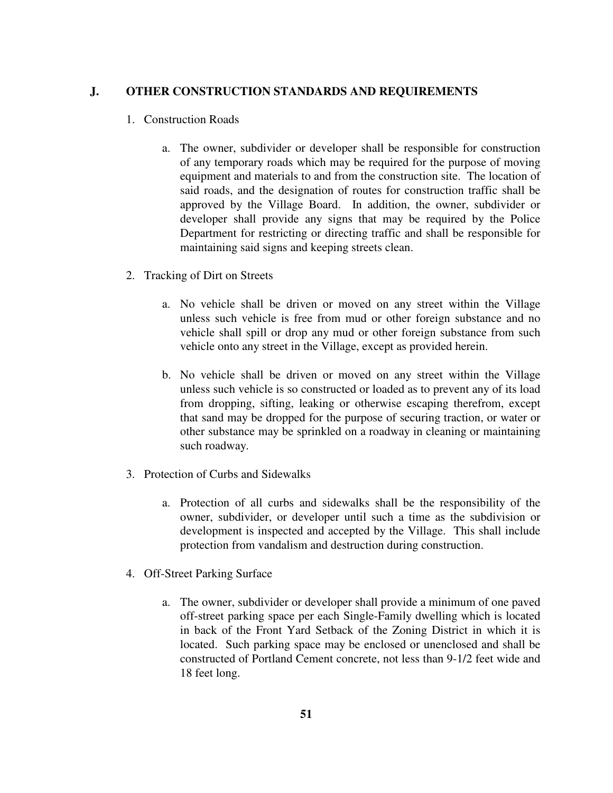### **J. OTHER CONSTRUCTION STANDARDS AND REQUIREMENTS**

- 1. Construction Roads
	- a. The owner, subdivider or developer shall be responsible for construction of any temporary roads which may be required for the purpose of moving equipment and materials to and from the construction site. The location of said roads, and the designation of routes for construction traffic shall be approved by the Village Board. In addition, the owner, subdivider or developer shall provide any signs that may be required by the Police Department for restricting or directing traffic and shall be responsible for maintaining said signs and keeping streets clean.
- 2. Tracking of Dirt on Streets
	- a. No vehicle shall be driven or moved on any street within the Village unless such vehicle is free from mud or other foreign substance and no vehicle shall spill or drop any mud or other foreign substance from such vehicle onto any street in the Village, except as provided herein.
	- b. No vehicle shall be driven or moved on any street within the Village unless such vehicle is so constructed or loaded as to prevent any of its load from dropping, sifting, leaking or otherwise escaping therefrom, except that sand may be dropped for the purpose of securing traction, or water or other substance may be sprinkled on a roadway in cleaning or maintaining such roadway.
- 3. Protection of Curbs and Sidewalks
	- a. Protection of all curbs and sidewalks shall be the responsibility of the owner, subdivider, or developer until such a time as the subdivision or development is inspected and accepted by the Village. This shall include protection from vandalism and destruction during construction.
- 4. Off-Street Parking Surface
	- a. The owner, subdivider or developer shall provide a minimum of one paved off-street parking space per each Single-Family dwelling which is located in back of the Front Yard Setback of the Zoning District in which it is located. Such parking space may be enclosed or unenclosed and shall be constructed of Portland Cement concrete, not less than 9-1/2 feet wide and 18 feet long.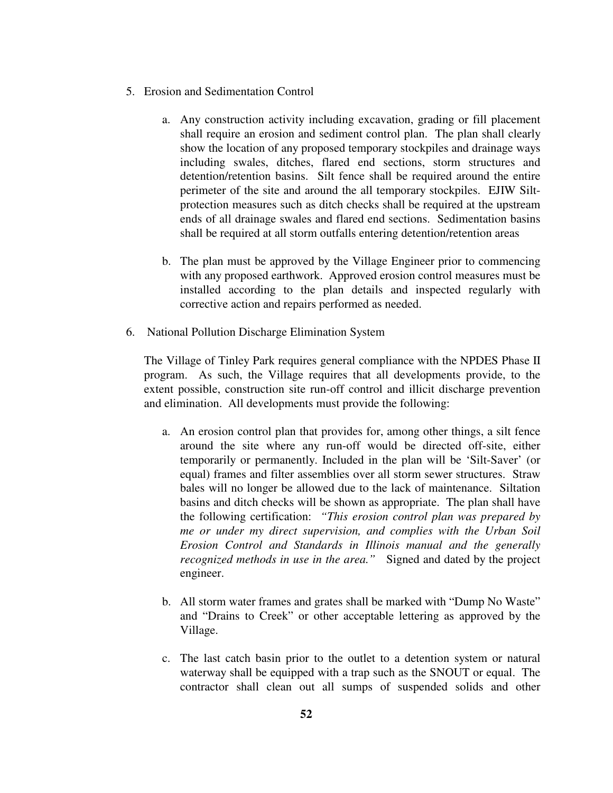- 5. Erosion and Sedimentation Control
	- a. Any construction activity including excavation, grading or fill placement shall require an erosion and sediment control plan. The plan shall clearly show the location of any proposed temporary stockpiles and drainage ways including swales, ditches, flared end sections, storm structures and detention/retention basins. Silt fence shall be required around the entire perimeter of the site and around the all temporary stockpiles. EJIW Siltprotection measures such as ditch checks shall be required at the upstream ends of all drainage swales and flared end sections. Sedimentation basins shall be required at all storm outfalls entering detention/retention areas
	- b. The plan must be approved by the Village Engineer prior to commencing with any proposed earthwork. Approved erosion control measures must be installed according to the plan details and inspected regularly with corrective action and repairs performed as needed.
- 6. National Pollution Discharge Elimination System

The Village of Tinley Park requires general compliance with the NPDES Phase II program. As such, the Village requires that all developments provide, to the extent possible, construction site run-off control and illicit discharge prevention and elimination. All developments must provide the following:

- a. An erosion control plan that provides for, among other things, a silt fence around the site where any run-off would be directed off-site, either temporarily or permanently. Included in the plan will be 'Silt-Saver' (or equal) frames and filter assemblies over all storm sewer structures. Straw bales will no longer be allowed due to the lack of maintenance. Siltation basins and ditch checks will be shown as appropriate. The plan shall have the following certification: *"This erosion control plan was prepared by me or under my direct supervision, and complies with the Urban Soil Erosion Control and Standards in Illinois manual and the generally recognized methods in use in the area."* Signed and dated by the project engineer.
- b. All storm water frames and grates shall be marked with "Dump No Waste" and "Drains to Creek" or other acceptable lettering as approved by the Village.
- c. The last catch basin prior to the outlet to a detention system or natural waterway shall be equipped with a trap such as the SNOUT or equal. The contractor shall clean out all sumps of suspended solids and other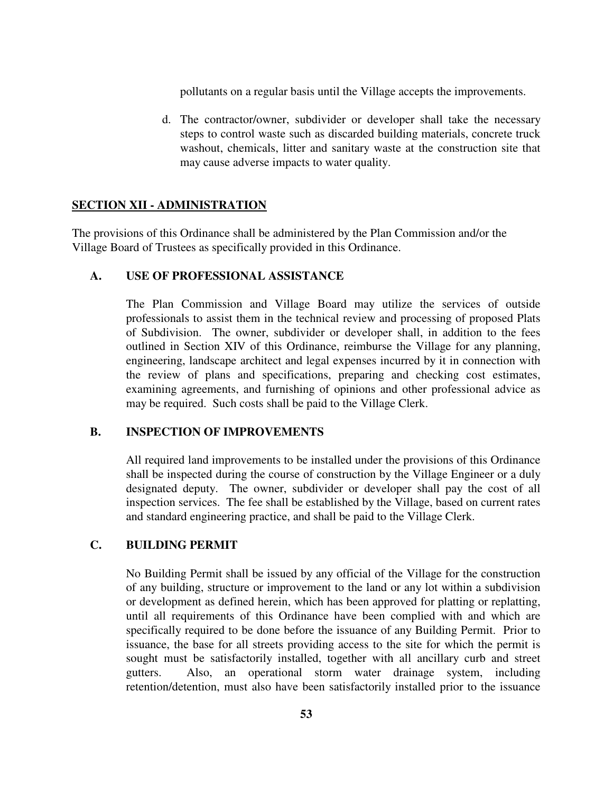pollutants on a regular basis until the Village accepts the improvements.

d. The contractor/owner, subdivider or developer shall take the necessary steps to control waste such as discarded building materials, concrete truck washout, chemicals, litter and sanitary waste at the construction site that may cause adverse impacts to water quality.

### **SECTION XII - ADMINISTRATION**

The provisions of this Ordinance shall be administered by the Plan Commission and/or the Village Board of Trustees as specifically provided in this Ordinance.

### **A. USE OF PROFESSIONAL ASSISTANCE**

The Plan Commission and Village Board may utilize the services of outside professionals to assist them in the technical review and processing of proposed Plats of Subdivision. The owner, subdivider or developer shall, in addition to the fees outlined in Section XIV of this Ordinance, reimburse the Village for any planning, engineering, landscape architect and legal expenses incurred by it in connection with the review of plans and specifications, preparing and checking cost estimates, examining agreements, and furnishing of opinions and other professional advice as may be required. Such costs shall be paid to the Village Clerk.

### **B. INSPECTION OF IMPROVEMENTS**

All required land improvements to be installed under the provisions of this Ordinance shall be inspected during the course of construction by the Village Engineer or a duly designated deputy. The owner, subdivider or developer shall pay the cost of all inspection services. The fee shall be established by the Village, based on current rates and standard engineering practice, and shall be paid to the Village Clerk.

# **C. BUILDING PERMIT**

No Building Permit shall be issued by any official of the Village for the construction of any building, structure or improvement to the land or any lot within a subdivision or development as defined herein, which has been approved for platting or replatting, until all requirements of this Ordinance have been complied with and which are specifically required to be done before the issuance of any Building Permit. Prior to issuance, the base for all streets providing access to the site for which the permit is sought must be satisfactorily installed, together with all ancillary curb and street gutters. Also, an operational storm water drainage system, including retention/detention, must also have been satisfactorily installed prior to the issuance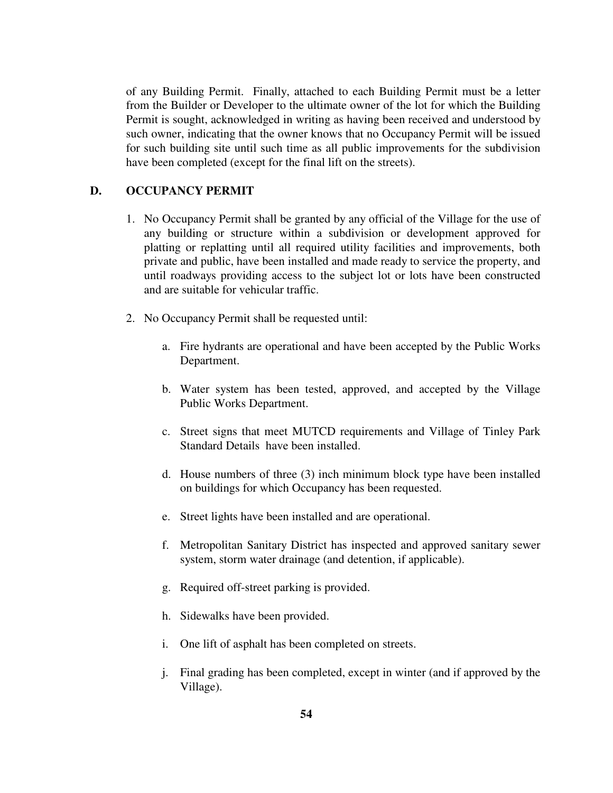of any Building Permit. Finally, attached to each Building Permit must be a letter from the Builder or Developer to the ultimate owner of the lot for which the Building Permit is sought, acknowledged in writing as having been received and understood by such owner, indicating that the owner knows that no Occupancy Permit will be issued for such building site until such time as all public improvements for the subdivision have been completed (except for the final lift on the streets).

### **D. OCCUPANCY PERMIT**

- 1. No Occupancy Permit shall be granted by any official of the Village for the use of any building or structure within a subdivision or development approved for platting or replatting until all required utility facilities and improvements, both private and public, have been installed and made ready to service the property, and until roadways providing access to the subject lot or lots have been constructed and are suitable for vehicular traffic.
- 2. No Occupancy Permit shall be requested until:
	- a. Fire hydrants are operational and have been accepted by the Public Works Department.
	- b. Water system has been tested, approved, and accepted by the Village Public Works Department.
	- c. Street signs that meet MUTCD requirements and Village of Tinley Park Standard Details have been installed.
	- d. House numbers of three (3) inch minimum block type have been installed on buildings for which Occupancy has been requested.
	- e. Street lights have been installed and are operational.
	- f. Metropolitan Sanitary District has inspected and approved sanitary sewer system, storm water drainage (and detention, if applicable).
	- g. Required off-street parking is provided.
	- h. Sidewalks have been provided.
	- i. One lift of asphalt has been completed on streets.
	- j. Final grading has been completed, except in winter (and if approved by the Village).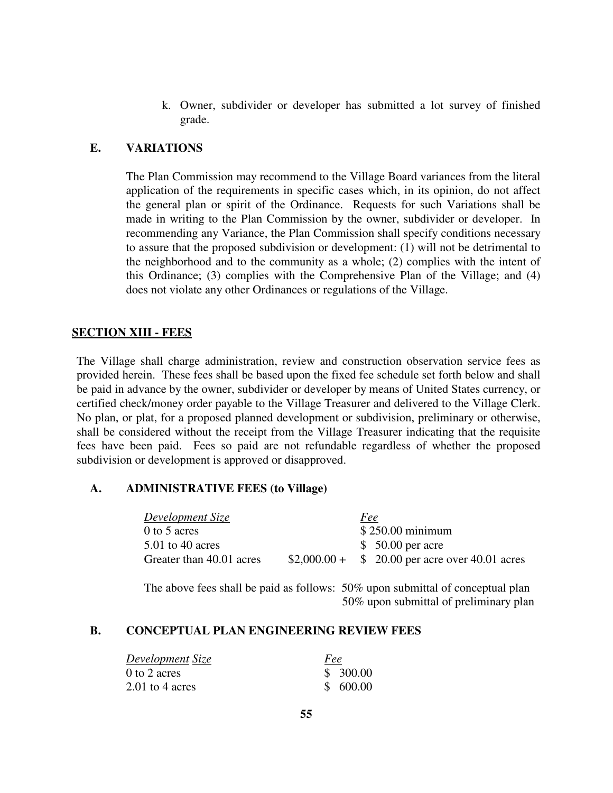k. Owner, subdivider or developer has submitted a lot survey of finished grade.

# **E. VARIATIONS**

The Plan Commission may recommend to the Village Board variances from the literal application of the requirements in specific cases which, in its opinion, do not affect the general plan or spirit of the Ordinance. Requests for such Variations shall be made in writing to the Plan Commission by the owner, subdivider or developer. In recommending any Variance, the Plan Commission shall specify conditions necessary to assure that the proposed subdivision or development: (1) will not be detrimental to the neighborhood and to the community as a whole; (2) complies with the intent of this Ordinance; (3) complies with the Comprehensive Plan of the Village; and (4) does not violate any other Ordinances or regulations of the Village.

# **SECTION XIII - FEES**

The Village shall charge administration, review and construction observation service fees as provided herein. These fees shall be based upon the fixed fee schedule set forth below and shall be paid in advance by the owner, subdivider or developer by means of United States currency, or certified check/money order payable to the Village Treasurer and delivered to the Village Clerk. No plan, or plat, for a proposed planned development or subdivision, preliminary or otherwise, shall be considered without the receipt from the Village Treasurer indicating that the requisite fees have been paid. Fees so paid are not refundable regardless of whether the proposed subdivision or development is approved or disapproved.

### **A. ADMINISTRATIVE FEES (to Village)**

| Development Size         | <u>Fee</u>                                     |
|--------------------------|------------------------------------------------|
| 0 to 5 acres             | $$250.00$ minimum                              |
| $5.01$ to 40 acres       | $$50.00$ per acre                              |
| Greater than 40.01 acres | $$2,000.00 + $20.00$ per acre over 40.01 acres |

The above fees shall be paid as follows: 50% upon submittal of conceptual plan 50% upon submittal of preliminary plan

#### **B. CONCEPTUAL PLAN ENGINEERING REVIEW FEES**

| Development Size  | Fee      |
|-------------------|----------|
| $0$ to 2 acres    | \$300.00 |
| $2.01$ to 4 acres | \$600.00 |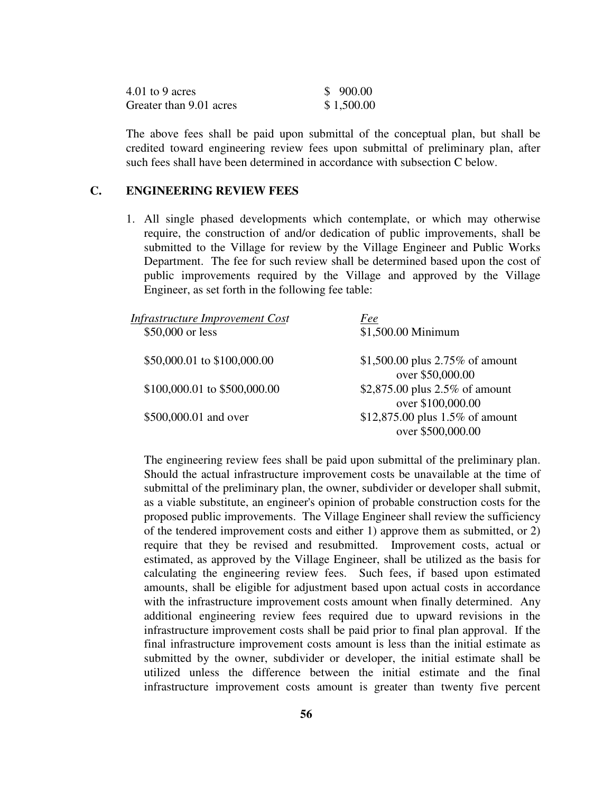| 4.01 to 9 acres         | \$900.00   |
|-------------------------|------------|
| Greater than 9.01 acres | \$1,500.00 |

The above fees shall be paid upon submittal of the conceptual plan, but shall be credited toward engineering review fees upon submittal of preliminary plan, after such fees shall have been determined in accordance with subsection C below.

### **C. ENGINEERING REVIEW FEES**

1. All single phased developments which contemplate, or which may otherwise require, the construction of and/or dedication of public improvements, shall be submitted to the Village for review by the Village Engineer and Public Works Department. The fee for such review shall be determined based upon the cost of public improvements required by the Village and approved by the Village Engineer, as set forth in the following fee table:

| <b>Infrastructure Improvement Cost</b> | Fee                                                    |
|----------------------------------------|--------------------------------------------------------|
| \$50,000 or less                       | \$1,500.00 Minimum                                     |
|                                        |                                                        |
|                                        |                                                        |
|                                        |                                                        |
| \$100,000.01 to \$500,000.00           | \$2,875.00 plus 2.5% of amount                         |
|                                        | over \$100,000.00                                      |
| \$500,000.01 and over                  | \$12,875.00 plus $1.5\%$ of amount                     |
|                                        | over \$500,000.00                                      |
| \$50,000.01 to \$100,000.00            | \$1,500.00 plus $2.75\%$ of amount<br>over \$50,000.00 |

The engineering review fees shall be paid upon submittal of the preliminary plan. Should the actual infrastructure improvement costs be unavailable at the time of submittal of the preliminary plan, the owner, subdivider or developer shall submit, as a viable substitute, an engineer's opinion of probable construction costs for the proposed public improvements. The Village Engineer shall review the sufficiency of the tendered improvement costs and either 1) approve them as submitted, or 2) require that they be revised and resubmitted. Improvement costs, actual or estimated, as approved by the Village Engineer, shall be utilized as the basis for calculating the engineering review fees. Such fees, if based upon estimated amounts, shall be eligible for adjustment based upon actual costs in accordance with the infrastructure improvement costs amount when finally determined. Any additional engineering review fees required due to upward revisions in the infrastructure improvement costs shall be paid prior to final plan approval. If the final infrastructure improvement costs amount is less than the initial estimate as submitted by the owner, subdivider or developer, the initial estimate shall be utilized unless the difference between the initial estimate and the final infrastructure improvement costs amount is greater than twenty five percent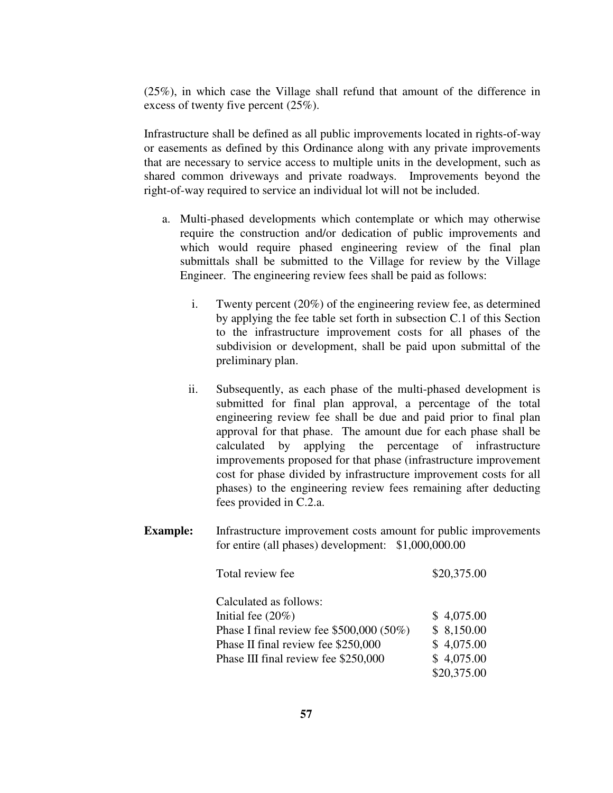(25%), in which case the Village shall refund that amount of the difference in excess of twenty five percent (25%).

Infrastructure shall be defined as all public improvements located in rights-of-way or easements as defined by this Ordinance along with any private improvements that are necessary to service access to multiple units in the development, such as shared common driveways and private roadways. Improvements beyond the right-of-way required to service an individual lot will not be included.

- a. Multi-phased developments which contemplate or which may otherwise require the construction and/or dedication of public improvements and which would require phased engineering review of the final plan submittals shall be submitted to the Village for review by the Village Engineer. The engineering review fees shall be paid as follows:
	- i. Twenty percent (20%) of the engineering review fee, as determined by applying the fee table set forth in subsection C.1 of this Section to the infrastructure improvement costs for all phases of the subdivision or development, shall be paid upon submittal of the preliminary plan.
	- ii. Subsequently, as each phase of the multi-phased development is submitted for final plan approval, a percentage of the total engineering review fee shall be due and paid prior to final plan approval for that phase. The amount due for each phase shall be calculated by applying the percentage of infrastructure improvements proposed for that phase (infrastructure improvement cost for phase divided by infrastructure improvement costs for all phases) to the engineering review fees remaining after deducting fees provided in C.2.a.
- **Example:** Infrastructure improvement costs amount for public improvements for entire (all phases) development: \$1,000,000.00

| Total review fee                           | \$20,375.00 |
|--------------------------------------------|-------------|
| Calculated as follows:                     |             |
| Initial fee $(20\%)$                       | \$4,075.00  |
| Phase I final review fee $$500,000 (50\%)$ | \$8,150.00  |
| Phase II final review fee \$250,000        | \$4,075.00  |
| Phase III final review fee \$250,000       | \$4,075.00  |
|                                            | \$20,375.00 |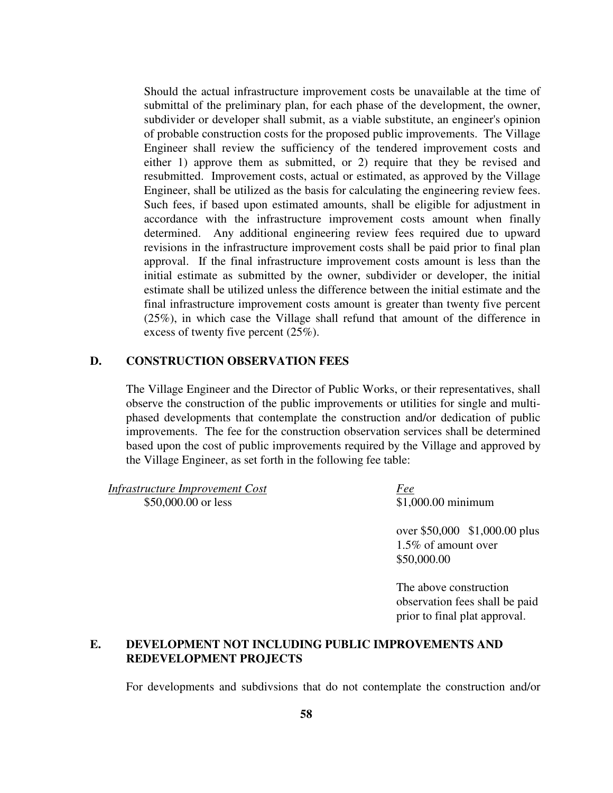Should the actual infrastructure improvement costs be unavailable at the time of submittal of the preliminary plan, for each phase of the development, the owner, subdivider or developer shall submit, as a viable substitute, an engineer's opinion of probable construction costs for the proposed public improvements. The Village Engineer shall review the sufficiency of the tendered improvement costs and either 1) approve them as submitted, or 2) require that they be revised and resubmitted. Improvement costs, actual or estimated, as approved by the Village Engineer, shall be utilized as the basis for calculating the engineering review fees. Such fees, if based upon estimated amounts, shall be eligible for adjustment in accordance with the infrastructure improvement costs amount when finally determined. Any additional engineering review fees required due to upward revisions in the infrastructure improvement costs shall be paid prior to final plan approval. If the final infrastructure improvement costs amount is less than the initial estimate as submitted by the owner, subdivider or developer, the initial estimate shall be utilized unless the difference between the initial estimate and the final infrastructure improvement costs amount is greater than twenty five percent (25%), in which case the Village shall refund that amount of the difference in excess of twenty five percent (25%).

### **D. CONSTRUCTION OBSERVATION FEES**

The Village Engineer and the Director of Public Works, or their representatives, shall observe the construction of the public improvements or utilities for single and multiphased developments that contemplate the construction and/or dedication of public improvements. The fee for the construction observation services shall be determined based upon the cost of public improvements required by the Village and approved by the Village Engineer, as set forth in the following fee table:

*Infrastructure Improvement Cost Fee* \$50,000.00 or less \$1,000.00 minimum

over \$50,000 \$1,000.00 plus 1.5% of amount over \$50,000.00

The above construction observation fees shall be paid prior to final plat approval.

## **E. DEVELOPMENT NOT INCLUDING PUBLIC IMPROVEMENTS AND REDEVELOPMENT PROJECTS**

For developments and subdivsions that do not contemplate the construction and/or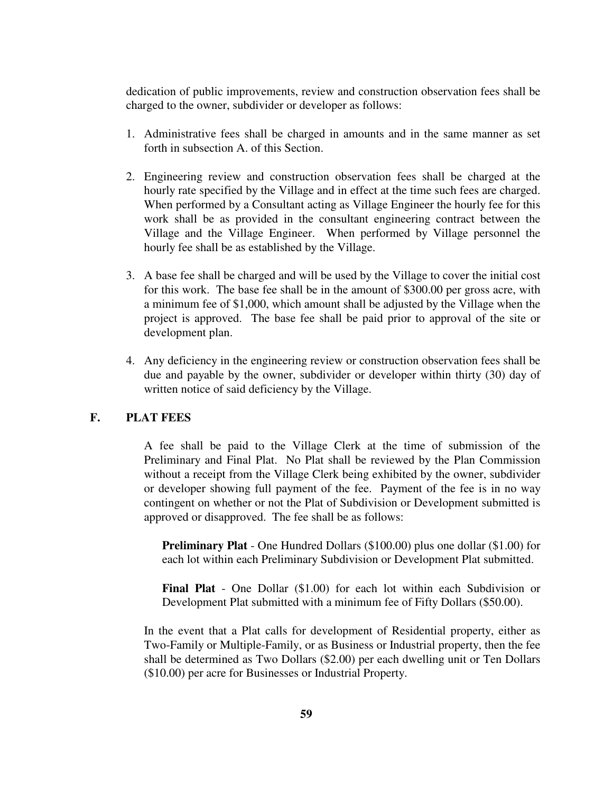dedication of public improvements, review and construction observation fees shall be charged to the owner, subdivider or developer as follows:

- 1. Administrative fees shall be charged in amounts and in the same manner as set forth in subsection A. of this Section.
- 2. Engineering review and construction observation fees shall be charged at the hourly rate specified by the Village and in effect at the time such fees are charged. When performed by a Consultant acting as Village Engineer the hourly fee for this work shall be as provided in the consultant engineering contract between the Village and the Village Engineer. When performed by Village personnel the hourly fee shall be as established by the Village.
- 3. A base fee shall be charged and will be used by the Village to cover the initial cost for this work. The base fee shall be in the amount of \$300.00 per gross acre, with a minimum fee of \$1,000, which amount shall be adjusted by the Village when the project is approved. The base fee shall be paid prior to approval of the site or development plan.
- 4. Any deficiency in the engineering review or construction observation fees shall be due and payable by the owner, subdivider or developer within thirty (30) day of written notice of said deficiency by the Village.

### **F. PLAT FEES**

A fee shall be paid to the Village Clerk at the time of submission of the Preliminary and Final Plat. No Plat shall be reviewed by the Plan Commission without a receipt from the Village Clerk being exhibited by the owner, subdivider or developer showing full payment of the fee. Payment of the fee is in no way contingent on whether or not the Plat of Subdivision or Development submitted is approved or disapproved. The fee shall be as follows:

**Preliminary Plat** - One Hundred Dollars (\$100.00) plus one dollar (\$1.00) for each lot within each Preliminary Subdivision or Development Plat submitted.

**Final Plat** - One Dollar (\$1.00) for each lot within each Subdivision or Development Plat submitted with a minimum fee of Fifty Dollars (\$50.00).

In the event that a Plat calls for development of Residential property, either as Two-Family or Multiple-Family, or as Business or Industrial property, then the fee shall be determined as Two Dollars (\$2.00) per each dwelling unit or Ten Dollars (\$10.00) per acre for Businesses or Industrial Property.